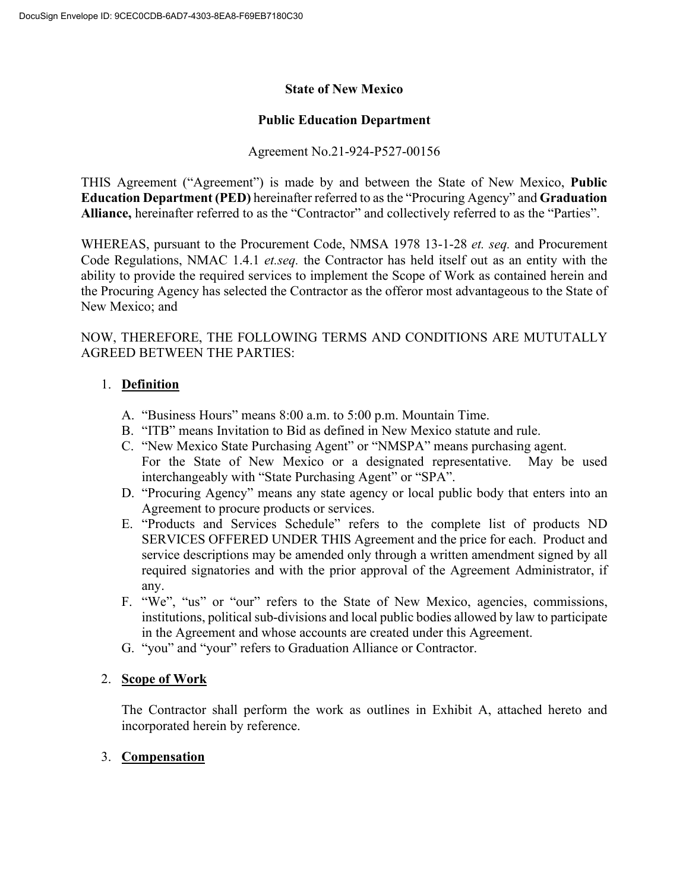## **State of New Mexico**

## **Public Education Department**

# Agreement No.21-924-P527-00156

THIS Agreement ("Agreement") is made by and between the State of New Mexico, **Public Education Department (PED)** hereinafter referred to as the "Procuring Agency" and **Graduation Alliance,** hereinafter referred to as the "Contractor" and collectively referred to as the "Parties".

WHEREAS, pursuant to the Procurement Code, NMSA 1978 13-1-28 *et. seq.* and Procurement Code Regulations, NMAC 1.4.1 *et.seq.* the Contractor has held itself out as an entity with the ability to provide the required services to implement the Scope of Work as contained herein and the Procuring Agency has selected the Contractor as the offeror most advantageous to the State of New Mexico; and

NOW, THEREFORE, THE FOLLOWING TERMS AND CONDITIONS ARE MUTUTALLY AGREED BETWEEN THE PARTIES:

# 1. **Definition**

- A. "Business Hours" means 8:00 a.m. to 5:00 p.m. Mountain Time.
- B. "ITB" means Invitation to Bid as defined in New Mexico statute and rule.
- C. "New Mexico State Purchasing Agent" or "NMSPA" means purchasing agent. For the State of New Mexico or a designated representative. May be used interchangeably with "State Purchasing Agent" or "SPA".
- D. "Procuring Agency" means any state agency or local public body that enters into an Agreement to procure products or services.
- E. "Products and Services Schedule" refers to the complete list of products ND SERVICES OFFERED UNDER THIS Agreement and the price for each. Product and service descriptions may be amended only through a written amendment signed by all required signatories and with the prior approval of the Agreement Administrator, if any.
- F. "We", "us" or "our" refers to the State of New Mexico, agencies, commissions, institutions, political sub-divisions and local public bodies allowed by law to participate in the Agreement and whose accounts are created under this Agreement.
- G. "you" and "your" refers to Graduation Alliance or Contractor.

## 2. **Scope of Work**

The Contractor shall perform the work as outlines in Exhibit A, attached hereto and incorporated herein by reference.

## 3. **Compensation**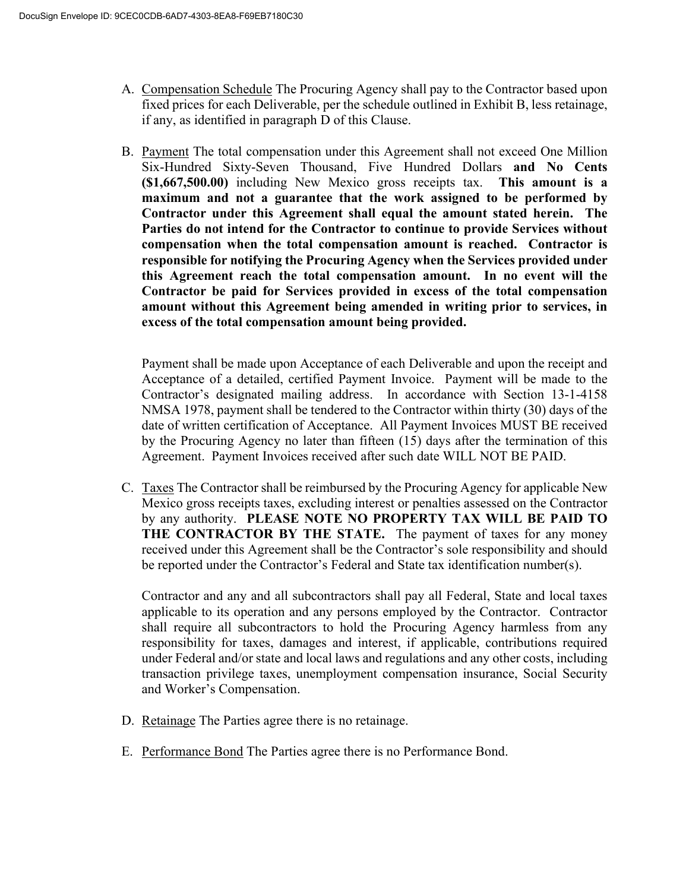- A. Compensation Schedule The Procuring Agency shall pay to the Contractor based upon fixed prices for each Deliverable, per the schedule outlined in Exhibit B, less retainage, if any, as identified in paragraph D of this Clause.
- B. Payment The total compensation under this Agreement shall not exceed One Million Six-Hundred Sixty-Seven Thousand, Five Hundred Dollars **and No Cents (\$1,667,500.00)** including New Mexico gross receipts tax. **This amount is a maximum and not a guarantee that the work assigned to be performed by Contractor under this Agreement shall equal the amount stated herein. The Parties do not intend for the Contractor to continue to provide Services without compensation when the total compensation amount is reached. Contractor is responsible for notifying the Procuring Agency when the Services provided under this Agreement reach the total compensation amount. In no event will the Contractor be paid for Services provided in excess of the total compensation amount without this Agreement being amended in writing prior to services, in excess of the total compensation amount being provided.**

Payment shall be made upon Acceptance of each Deliverable and upon the receipt and Acceptance of a detailed, certified Payment Invoice. Payment will be made to the Contractor's designated mailing address. In accordance with Section 13-1-4158 NMSA 1978, payment shall be tendered to the Contractor within thirty (30) days of the date of written certification of Acceptance. All Payment Invoices MUST BE received by the Procuring Agency no later than fifteen (15) days after the termination of this Agreement. Payment Invoices received after such date WILL NOT BE PAID.

C. Taxes The Contractor shall be reimbursed by the Procuring Agency for applicable New Mexico gross receipts taxes, excluding interest or penalties assessed on the Contractor by any authority. **PLEASE NOTE NO PROPERTY TAX WILL BE PAID TO THE CONTRACTOR BY THE STATE.** The payment of taxes for any money received under this Agreement shall be the Contractor's sole responsibility and should be reported under the Contractor's Federal and State tax identification number(s).

Contractor and any and all subcontractors shall pay all Federal, State and local taxes applicable to its operation and any persons employed by the Contractor. Contractor shall require all subcontractors to hold the Procuring Agency harmless from any responsibility for taxes, damages and interest, if applicable, contributions required under Federal and/or state and local laws and regulations and any other costs, including transaction privilege taxes, unemployment compensation insurance, Social Security and Worker's Compensation.

- D. Retainage The Parties agree there is no retainage.
- E. Performance Bond The Parties agree there is no Performance Bond.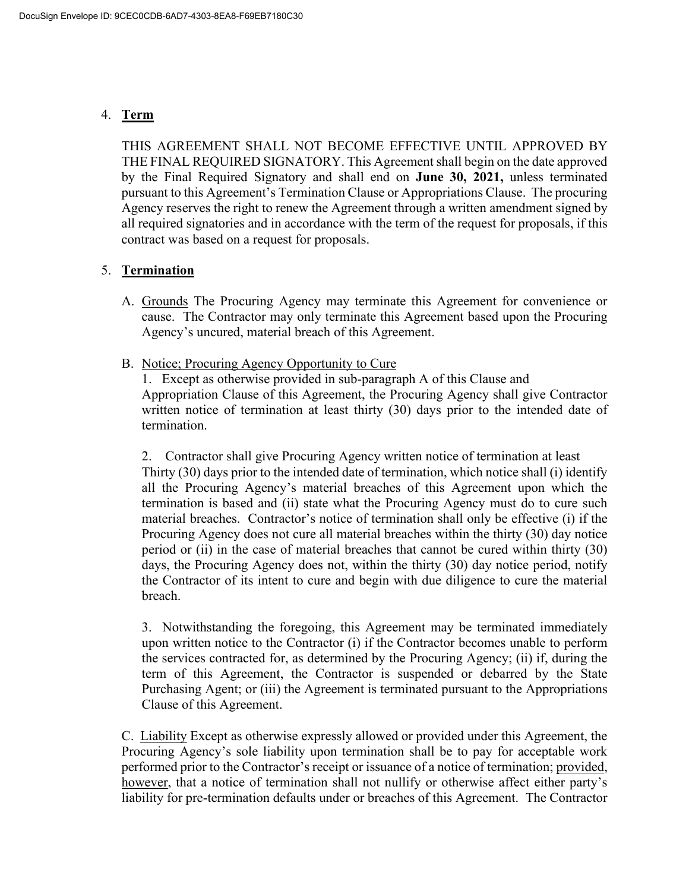# 4. **Term**

THIS AGREEMENT SHALL NOT BECOME EFFECTIVE UNTIL APPROVED BY THE FINAL REQUIRED SIGNATORY. This Agreement shall begin on the date approved by the Final Required Signatory and shall end on **June 30, 2021,** unless terminated pursuant to this Agreement's Termination Clause or Appropriations Clause. The procuring Agency reserves the right to renew the Agreement through a written amendment signed by all required signatories and in accordance with the term of the request for proposals, if this contract was based on a request for proposals.

## 5. **Termination**

- A. Grounds The Procuring Agency may terminate this Agreement for convenience or cause. The Contractor may only terminate this Agreement based upon the Procuring Agency's uncured, material breach of this Agreement.
- B. Notice; Procuring Agency Opportunity to Cure

1. Except as otherwise provided in sub-paragraph A of this Clause and Appropriation Clause of this Agreement, the Procuring Agency shall give Contractor written notice of termination at least thirty (30) days prior to the intended date of termination.

2. Contractor shall give Procuring Agency written notice of termination at least Thirty (30) days prior to the intended date of termination, which notice shall (i) identify all the Procuring Agency's material breaches of this Agreement upon which the termination is based and (ii) state what the Procuring Agency must do to cure such material breaches. Contractor's notice of termination shall only be effective (i) if the Procuring Agency does not cure all material breaches within the thirty (30) day notice period or (ii) in the case of material breaches that cannot be cured within thirty (30) days, the Procuring Agency does not, within the thirty (30) day notice period, notify the Contractor of its intent to cure and begin with due diligence to cure the material breach.

3. Notwithstanding the foregoing, this Agreement may be terminated immediately upon written notice to the Contractor (i) if the Contractor becomes unable to perform the services contracted for, as determined by the Procuring Agency; (ii) if, during the term of this Agreement, the Contractor is suspended or debarred by the State Purchasing Agent; or (iii) the Agreement is terminated pursuant to the Appropriations Clause of this Agreement.

C. Liability Except as otherwise expressly allowed or provided under this Agreement, the Procuring Agency's sole liability upon termination shall be to pay for acceptable work performed prior to the Contractor's receipt or issuance of a notice of termination; provided, however, that a notice of termination shall not nullify or otherwise affect either party's liability for pre-termination defaults under or breaches of this Agreement. The Contractor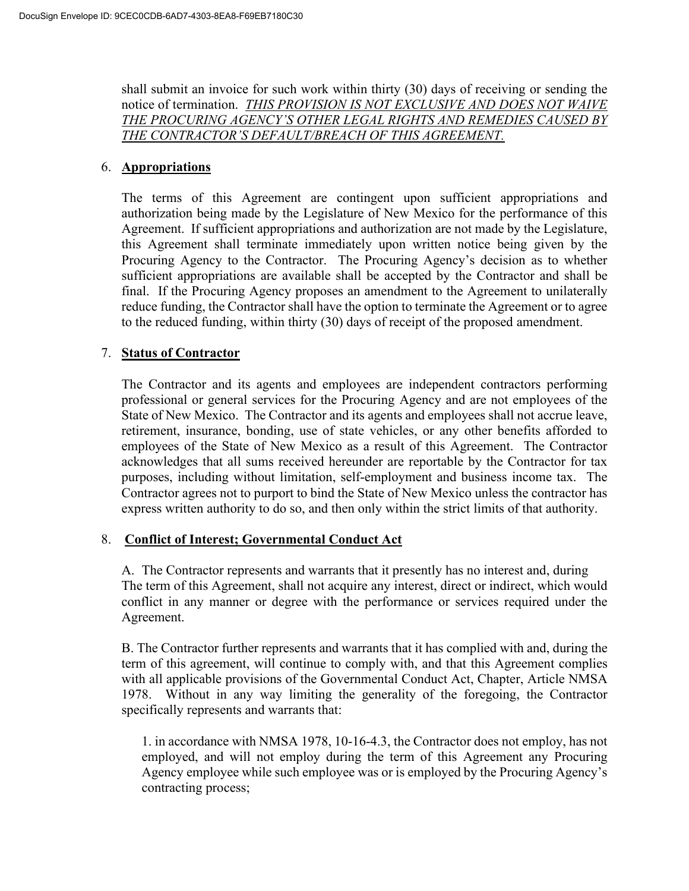shall submit an invoice for such work within thirty (30) days of receiving or sending the notice of termination. *THIS PROVISION IS NOT EXCLUSIVE AND DOES NOT WAIVE THE PROCURING AGENCY'S OTHER LEGAL RIGHTS AND REMEDIES CAUSED BY THE CONTRACTOR'S DEFAULT/BREACH OF THIS AGREEMENT.*

### 6. **Appropriations**

The terms of this Agreement are contingent upon sufficient appropriations and authorization being made by the Legislature of New Mexico for the performance of this Agreement. If sufficient appropriations and authorization are not made by the Legislature, this Agreement shall terminate immediately upon written notice being given by the Procuring Agency to the Contractor. The Procuring Agency's decision as to whether sufficient appropriations are available shall be accepted by the Contractor and shall be final. If the Procuring Agency proposes an amendment to the Agreement to unilaterally reduce funding, the Contractor shall have the option to terminate the Agreement or to agree to the reduced funding, within thirty (30) days of receipt of the proposed amendment.

### 7. **Status of Contractor**

The Contractor and its agents and employees are independent contractors performing professional or general services for the Procuring Agency and are not employees of the State of New Mexico. The Contractor and its agents and employees shall not accrue leave, retirement, insurance, bonding, use of state vehicles, or any other benefits afforded to employees of the State of New Mexico as a result of this Agreement. The Contractor acknowledges that all sums received hereunder are reportable by the Contractor for tax purposes, including without limitation, self-employment and business income tax. The Contractor agrees not to purport to bind the State of New Mexico unless the contractor has express written authority to do so, and then only within the strict limits of that authority.

#### 8. **Conflict of Interest; Governmental Conduct Act**

A. The Contractor represents and warrants that it presently has no interest and, during The term of this Agreement, shall not acquire any interest, direct or indirect, which would conflict in any manner or degree with the performance or services required under the Agreement.

B. The Contractor further represents and warrants that it has complied with and, during the term of this agreement, will continue to comply with, and that this Agreement complies with all applicable provisions of the Governmental Conduct Act, Chapter, Article NMSA 1978. Without in any way limiting the generality of the foregoing, the Contractor specifically represents and warrants that:

1. in accordance with NMSA 1978, 10-16-4.3, the Contractor does not employ, has not employed, and will not employ during the term of this Agreement any Procuring Agency employee while such employee was or is employed by the Procuring Agency's contracting process;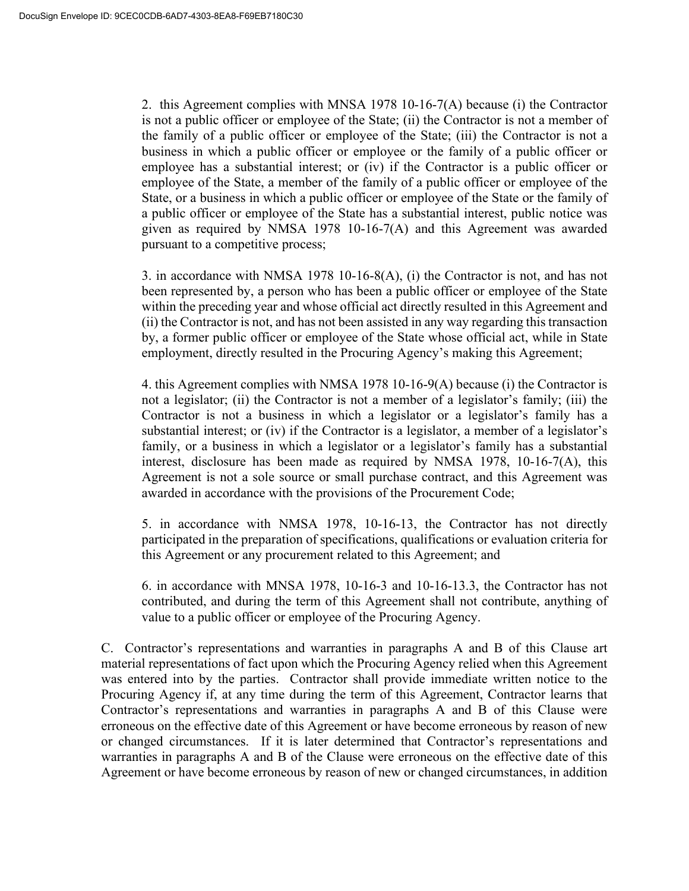2. this Agreement complies with MNSA 1978 10-16-7(A) because (i) the Contractor is not a public officer or employee of the State; (ii) the Contractor is not a member of the family of a public officer or employee of the State; (iii) the Contractor is not a business in which a public officer or employee or the family of a public officer or employee has a substantial interest; or (iv) if the Contractor is a public officer or employee of the State, a member of the family of a public officer or employee of the State, or a business in which a public officer or employee of the State or the family of a public officer or employee of the State has a substantial interest, public notice was given as required by NMSA 1978 10-16-7(A) and this Agreement was awarded pursuant to a competitive process;

3. in accordance with NMSA 1978 10-16-8(A), (i) the Contractor is not, and has not been represented by, a person who has been a public officer or employee of the State within the preceding year and whose official act directly resulted in this Agreement and (ii) the Contractor is not, and has not been assisted in any way regarding this transaction by, a former public officer or employee of the State whose official act, while in State employment, directly resulted in the Procuring Agency's making this Agreement;

4. this Agreement complies with NMSA 1978 10-16-9(A) because (i) the Contractor is not a legislator; (ii) the Contractor is not a member of a legislator's family; (iii) the Contractor is not a business in which a legislator or a legislator's family has a substantial interest; or (iv) if the Contractor is a legislator, a member of a legislator's family, or a business in which a legislator or a legislator's family has a substantial interest, disclosure has been made as required by NMSA 1978, 10-16-7(A), this Agreement is not a sole source or small purchase contract, and this Agreement was awarded in accordance with the provisions of the Procurement Code;

5. in accordance with NMSA 1978, 10-16-13, the Contractor has not directly participated in the preparation of specifications, qualifications or evaluation criteria for this Agreement or any procurement related to this Agreement; and

6. in accordance with MNSA 1978, 10-16-3 and 10-16-13.3, the Contractor has not contributed, and during the term of this Agreement shall not contribute, anything of value to a public officer or employee of the Procuring Agency.

C. Contractor's representations and warranties in paragraphs A and B of this Clause art material representations of fact upon which the Procuring Agency relied when this Agreement was entered into by the parties. Contractor shall provide immediate written notice to the Procuring Agency if, at any time during the term of this Agreement, Contractor learns that Contractor's representations and warranties in paragraphs A and B of this Clause were erroneous on the effective date of this Agreement or have become erroneous by reason of new or changed circumstances. If it is later determined that Contractor's representations and warranties in paragraphs A and B of the Clause were erroneous on the effective date of this Agreement or have become erroneous by reason of new or changed circumstances, in addition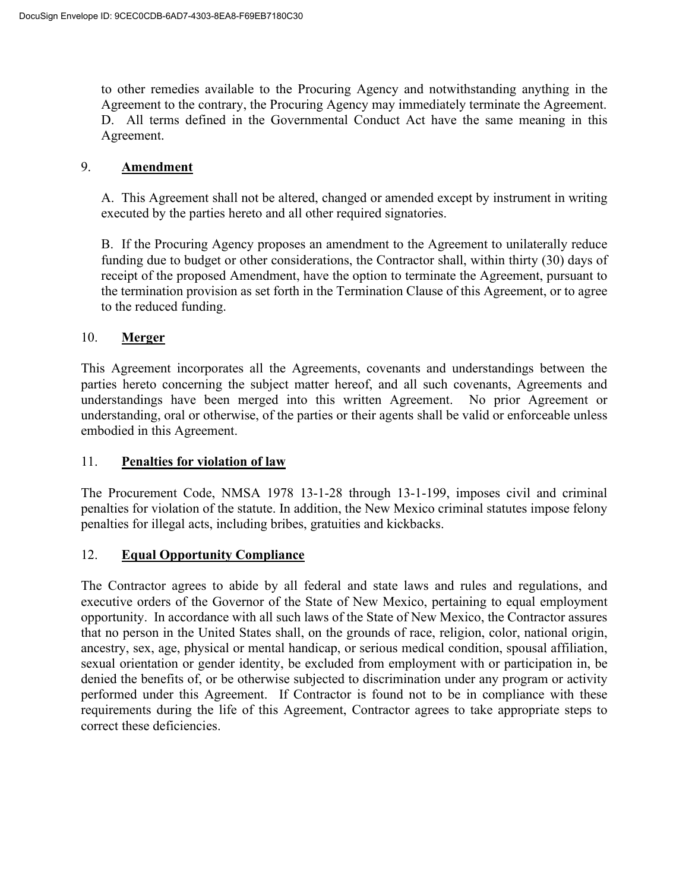to other remedies available to the Procuring Agency and notwithstanding anything in the Agreement to the contrary, the Procuring Agency may immediately terminate the Agreement. D. All terms defined in the Governmental Conduct Act have the same meaning in this Agreement.

### 9. **Amendment**

A. This Agreement shall not be altered, changed or amended except by instrument in writing executed by the parties hereto and all other required signatories.

B. If the Procuring Agency proposes an amendment to the Agreement to unilaterally reduce funding due to budget or other considerations, the Contractor shall, within thirty (30) days of receipt of the proposed Amendment, have the option to terminate the Agreement, pursuant to the termination provision as set forth in the Termination Clause of this Agreement, or to agree to the reduced funding.

## 10. **Merger**

This Agreement incorporates all the Agreements, covenants and understandings between the parties hereto concerning the subject matter hereof, and all such covenants, Agreements and understandings have been merged into this written Agreement. No prior Agreement or understanding, oral or otherwise, of the parties or their agents shall be valid or enforceable unless embodied in this Agreement.

#### 11. **Penalties for violation of law**

The Procurement Code, NMSA 1978 13-1-28 through 13-1-199, imposes civil and criminal penalties for violation of the statute. In addition, the New Mexico criminal statutes impose felony penalties for illegal acts, including bribes, gratuities and kickbacks.

## 12. **Equal Opportunity Compliance**

The Contractor agrees to abide by all federal and state laws and rules and regulations, and executive orders of the Governor of the State of New Mexico, pertaining to equal employment opportunity. In accordance with all such laws of the State of New Mexico, the Contractor assures that no person in the United States shall, on the grounds of race, religion, color, national origin, ancestry, sex, age, physical or mental handicap, or serious medical condition, spousal affiliation, sexual orientation or gender identity, be excluded from employment with or participation in, be denied the benefits of, or be otherwise subjected to discrimination under any program or activity performed under this Agreement. If Contractor is found not to be in compliance with these requirements during the life of this Agreement, Contractor agrees to take appropriate steps to correct these deficiencies.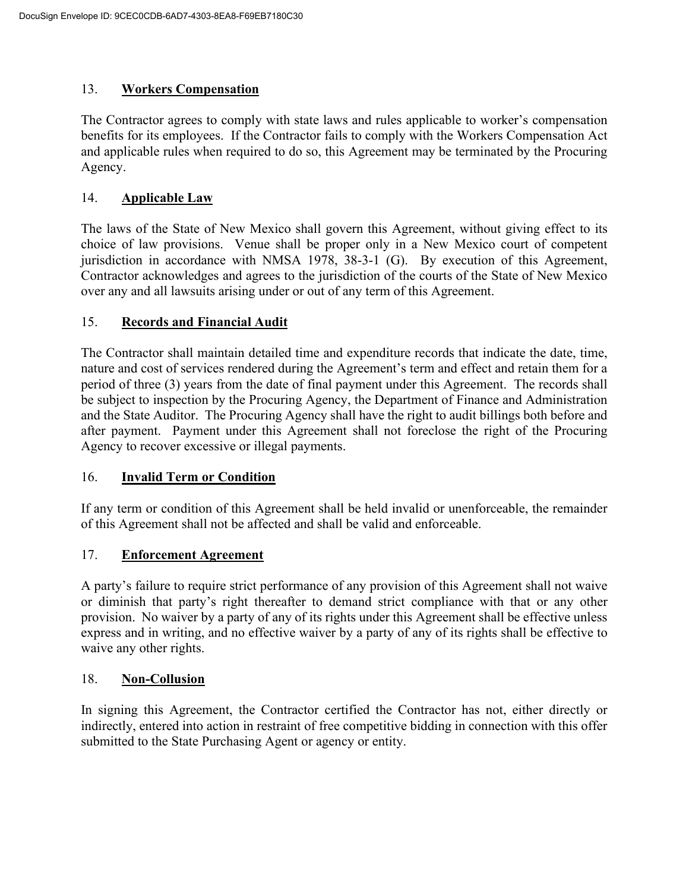# 13. **Workers Compensation**

The Contractor agrees to comply with state laws and rules applicable to worker's compensation benefits for its employees. If the Contractor fails to comply with the Workers Compensation Act and applicable rules when required to do so, this Agreement may be terminated by the Procuring Agency.

# 14. **Applicable Law**

The laws of the State of New Mexico shall govern this Agreement, without giving effect to its choice of law provisions. Venue shall be proper only in a New Mexico court of competent jurisdiction in accordance with NMSA 1978, 38-3-1 (G). By execution of this Agreement, Contractor acknowledges and agrees to the jurisdiction of the courts of the State of New Mexico over any and all lawsuits arising under or out of any term of this Agreement.

# 15. **Records and Financial Audit**

The Contractor shall maintain detailed time and expenditure records that indicate the date, time, nature and cost of services rendered during the Agreement's term and effect and retain them for a period of three (3) years from the date of final payment under this Agreement. The records shall be subject to inspection by the Procuring Agency, the Department of Finance and Administration and the State Auditor. The Procuring Agency shall have the right to audit billings both before and after payment. Payment under this Agreement shall not foreclose the right of the Procuring Agency to recover excessive or illegal payments.

## 16. **Invalid Term or Condition**

If any term or condition of this Agreement shall be held invalid or unenforceable, the remainder of this Agreement shall not be affected and shall be valid and enforceable.

## 17. **Enforcement Agreement**

A party's failure to require strict performance of any provision of this Agreement shall not waive or diminish that party's right thereafter to demand strict compliance with that or any other provision. No waiver by a party of any of its rights under this Agreement shall be effective unless express and in writing, and no effective waiver by a party of any of its rights shall be effective to waive any other rights.

## 18. **Non-Collusion**

In signing this Agreement, the Contractor certified the Contractor has not, either directly or indirectly, entered into action in restraint of free competitive bidding in connection with this offer submitted to the State Purchasing Agent or agency or entity.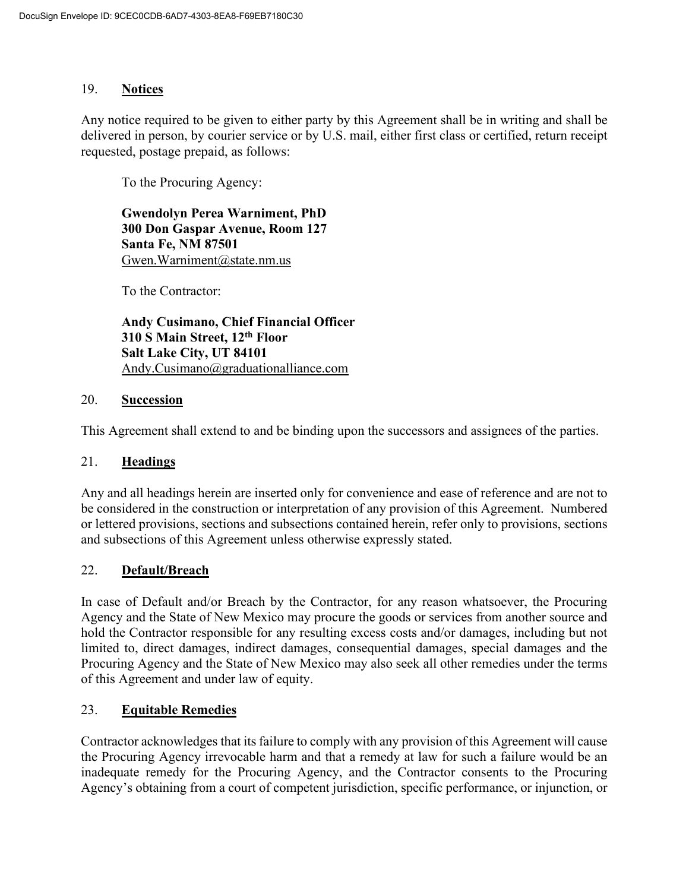### 19. **Notices**

Any notice required to be given to either party by this Agreement shall be in writing and shall be delivered in person, by courier service or by U.S. mail, either first class or certified, return receipt requested, postage prepaid, as follows:

To the Procuring Agency:

**Gwendolyn Perea Warniment, PhD 300 Don Gaspar Avenue, Room 127 Santa Fe, NM 87501** [Gwen.Warniment@state.nm.us](about:blank)

To the Contractor:

**Andy Cusimano, Chief Financial Officer 310 S Main Street, 12th Floor Salt Lake City, UT 84101** [Andy.Cusimano@graduationalliance.com](about:blank)

#### 20. **Succession**

This Agreement shall extend to and be binding upon the successors and assignees of the parties.

#### 21. **Headings**

Any and all headings herein are inserted only for convenience and ease of reference and are not to be considered in the construction or interpretation of any provision of this Agreement. Numbered or lettered provisions, sections and subsections contained herein, refer only to provisions, sections and subsections of this Agreement unless otherwise expressly stated.

## 22. **Default/Breach**

In case of Default and/or Breach by the Contractor, for any reason whatsoever, the Procuring Agency and the State of New Mexico may procure the goods or services from another source and hold the Contractor responsible for any resulting excess costs and/or damages, including but not limited to, direct damages, indirect damages, consequential damages, special damages and the Procuring Agency and the State of New Mexico may also seek all other remedies under the terms of this Agreement and under law of equity.

## 23. **Equitable Remedies**

Contractor acknowledges that its failure to comply with any provision of this Agreement will cause the Procuring Agency irrevocable harm and that a remedy at law for such a failure would be an inadequate remedy for the Procuring Agency, and the Contractor consents to the Procuring Agency's obtaining from a court of competent jurisdiction, specific performance, or injunction, or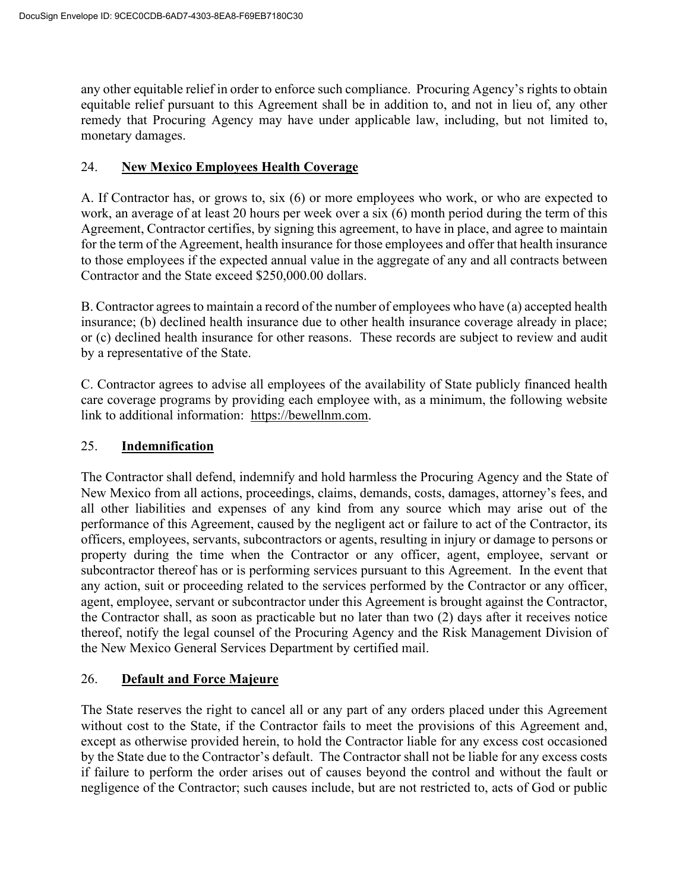any other equitable relief in order to enforce such compliance. Procuring Agency's rights to obtain equitable relief pursuant to this Agreement shall be in addition to, and not in lieu of, any other remedy that Procuring Agency may have under applicable law, including, but not limited to, monetary damages.

### 24. **New Mexico Employees Health Coverage**

A. If Contractor has, or grows to, six (6) or more employees who work, or who are expected to work, an average of at least 20 hours per week over a six (6) month period during the term of this Agreement, Contractor certifies, by signing this agreement, to have in place, and agree to maintain for the term of the Agreement, health insurance for those employees and offer that health insurance to those employees if the expected annual value in the aggregate of any and all contracts between Contractor and the State exceed \$250,000.00 dollars.

B. Contractor agrees to maintain a record of the number of employees who have (a) accepted health insurance; (b) declined health insurance due to other health insurance coverage already in place; or (c) declined health insurance for other reasons. These records are subject to review and audit by a representative of the State.

C. Contractor agrees to advise all employees of the availability of State publicly financed health care coverage programs by providing each employee with, as a minimum, the following website link to additional information: [https://bewellnm.com.](about:blank)

### 25. **Indemnification**

The Contractor shall defend, indemnify and hold harmless the Procuring Agency and the State of New Mexico from all actions, proceedings, claims, demands, costs, damages, attorney's fees, and all other liabilities and expenses of any kind from any source which may arise out of the performance of this Agreement, caused by the negligent act or failure to act of the Contractor, its officers, employees, servants, subcontractors or agents, resulting in injury or damage to persons or property during the time when the Contractor or any officer, agent, employee, servant or subcontractor thereof has or is performing services pursuant to this Agreement. In the event that any action, suit or proceeding related to the services performed by the Contractor or any officer, agent, employee, servant or subcontractor under this Agreement is brought against the Contractor, the Contractor shall, as soon as practicable but no later than two (2) days after it receives notice thereof, notify the legal counsel of the Procuring Agency and the Risk Management Division of the New Mexico General Services Department by certified mail.

#### 26. **Default and Force Majeure**

The State reserves the right to cancel all or any part of any orders placed under this Agreement without cost to the State, if the Contractor fails to meet the provisions of this Agreement and, except as otherwise provided herein, to hold the Contractor liable for any excess cost occasioned by the State due to the Contractor's default. The Contractor shall not be liable for any excess costs if failure to perform the order arises out of causes beyond the control and without the fault or negligence of the Contractor; such causes include, but are not restricted to, acts of God or public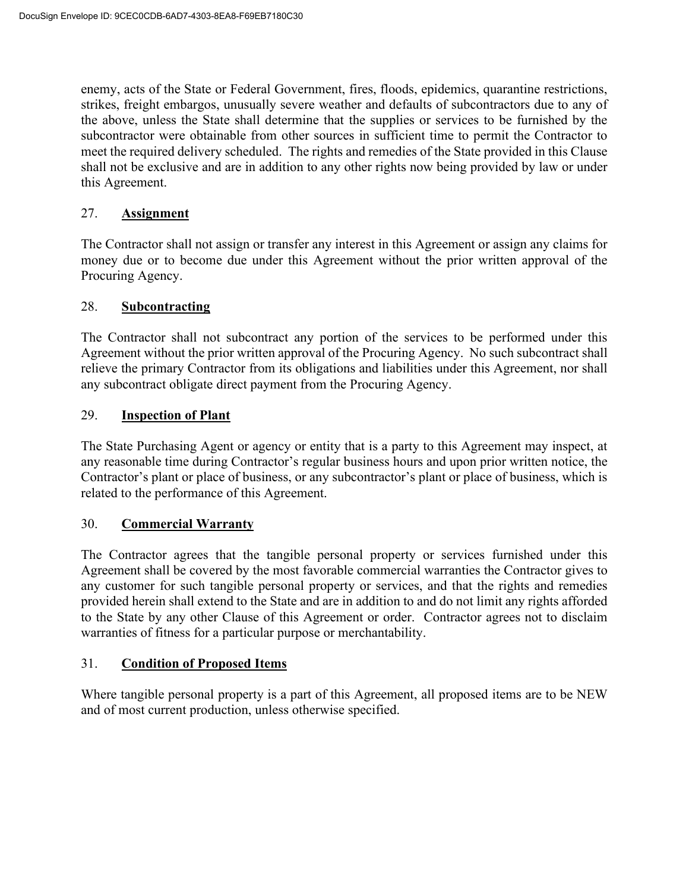enemy, acts of the State or Federal Government, fires, floods, epidemics, quarantine restrictions, strikes, freight embargos, unusually severe weather and defaults of subcontractors due to any of the above, unless the State shall determine that the supplies or services to be furnished by the subcontractor were obtainable from other sources in sufficient time to permit the Contractor to meet the required delivery scheduled. The rights and remedies of the State provided in this Clause shall not be exclusive and are in addition to any other rights now being provided by law or under this Agreement.

### 27. **Assignment**

The Contractor shall not assign or transfer any interest in this Agreement or assign any claims for money due or to become due under this Agreement without the prior written approval of the Procuring Agency.

### 28. **Subcontracting**

The Contractor shall not subcontract any portion of the services to be performed under this Agreement without the prior written approval of the Procuring Agency. No such subcontract shall relieve the primary Contractor from its obligations and liabilities under this Agreement, nor shall any subcontract obligate direct payment from the Procuring Agency.

### 29. **Inspection of Plant**

The State Purchasing Agent or agency or entity that is a party to this Agreement may inspect, at any reasonable time during Contractor's regular business hours and upon prior written notice, the Contractor's plant or place of business, or any subcontractor's plant or place of business, which is related to the performance of this Agreement.

#### 30. **Commercial Warranty**

The Contractor agrees that the tangible personal property or services furnished under this Agreement shall be covered by the most favorable commercial warranties the Contractor gives to any customer for such tangible personal property or services, and that the rights and remedies provided herein shall extend to the State and are in addition to and do not limit any rights afforded to the State by any other Clause of this Agreement or order. Contractor agrees not to disclaim warranties of fitness for a particular purpose or merchantability.

#### 31. **Condition of Proposed Items**

Where tangible personal property is a part of this Agreement, all proposed items are to be NEW and of most current production, unless otherwise specified.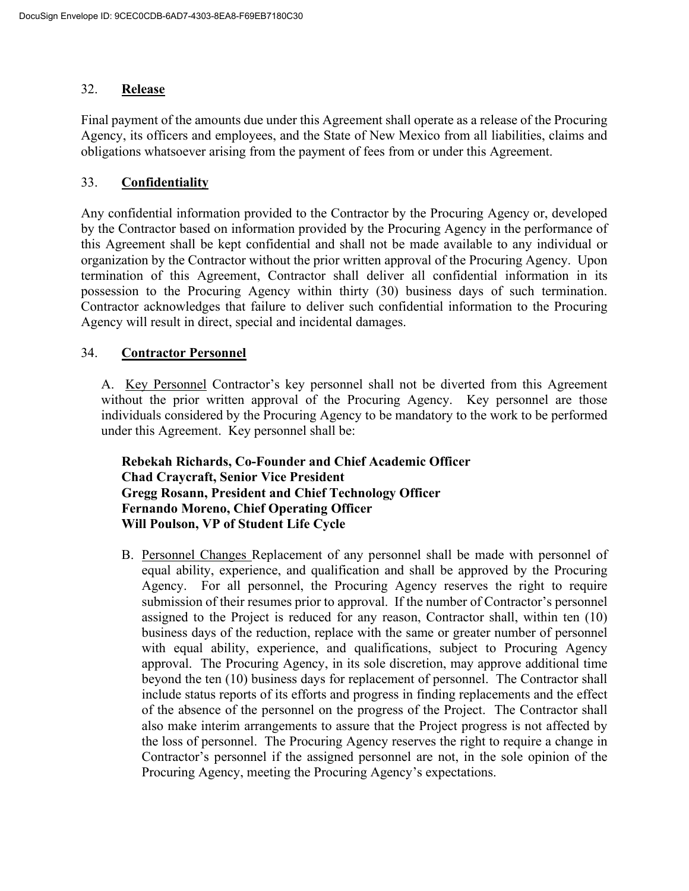### 32. **Release**

Final payment of the amounts due under this Agreement shall operate as a release of the Procuring Agency, its officers and employees, and the State of New Mexico from all liabilities, claims and obligations whatsoever arising from the payment of fees from or under this Agreement.

### 33. **Confidentiality**

Any confidential information provided to the Contractor by the Procuring Agency or, developed by the Contractor based on information provided by the Procuring Agency in the performance of this Agreement shall be kept confidential and shall not be made available to any individual or organization by the Contractor without the prior written approval of the Procuring Agency. Upon termination of this Agreement, Contractor shall deliver all confidential information in its possession to the Procuring Agency within thirty (30) business days of such termination. Contractor acknowledges that failure to deliver such confidential information to the Procuring Agency will result in direct, special and incidental damages.

### 34. **Contractor Personnel**

A. Key Personnel Contractor's key personnel shall not be diverted from this Agreement without the prior written approval of the Procuring Agency. Key personnel are those individuals considered by the Procuring Agency to be mandatory to the work to be performed under this Agreement. Key personnel shall be:

 **Rebekah Richards, Co-Founder and Chief Academic Officer Chad Craycraft, Senior Vice President Gregg Rosann, President and Chief Technology Officer Fernando Moreno, Chief Operating Officer Will Poulson, VP of Student Life Cycle**

B. Personnel Changes Replacement of any personnel shall be made with personnel of equal ability, experience, and qualification and shall be approved by the Procuring Agency. For all personnel, the Procuring Agency reserves the right to require submission of their resumes prior to approval. If the number of Contractor's personnel assigned to the Project is reduced for any reason, Contractor shall, within ten (10) business days of the reduction, replace with the same or greater number of personnel with equal ability, experience, and qualifications, subject to Procuring Agency approval. The Procuring Agency, in its sole discretion, may approve additional time beyond the ten (10) business days for replacement of personnel. The Contractor shall include status reports of its efforts and progress in finding replacements and the effect of the absence of the personnel on the progress of the Project. The Contractor shall also make interim arrangements to assure that the Project progress is not affected by the loss of personnel. The Procuring Agency reserves the right to require a change in Contractor's personnel if the assigned personnel are not, in the sole opinion of the Procuring Agency, meeting the Procuring Agency's expectations.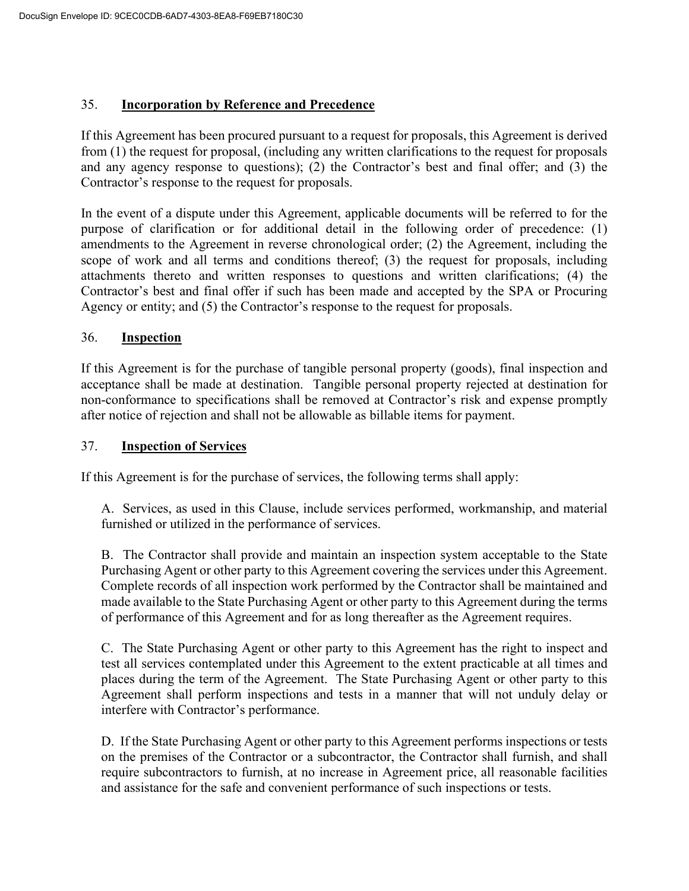### 35. **Incorporation by Reference and Precedence**

If this Agreement has been procured pursuant to a request for proposals, this Agreement is derived from (1) the request for proposal, (including any written clarifications to the request for proposals and any agency response to questions); (2) the Contractor's best and final offer; and (3) the Contractor's response to the request for proposals.

In the event of a dispute under this Agreement, applicable documents will be referred to for the purpose of clarification or for additional detail in the following order of precedence: (1) amendments to the Agreement in reverse chronological order; (2) the Agreement, including the scope of work and all terms and conditions thereof; (3) the request for proposals, including attachments thereto and written responses to questions and written clarifications; (4) the Contractor's best and final offer if such has been made and accepted by the SPA or Procuring Agency or entity; and (5) the Contractor's response to the request for proposals.

#### 36. **Inspection**

If this Agreement is for the purchase of tangible personal property (goods), final inspection and acceptance shall be made at destination. Tangible personal property rejected at destination for non-conformance to specifications shall be removed at Contractor's risk and expense promptly after notice of rejection and shall not be allowable as billable items for payment.

#### 37. **Inspection of Services**

If this Agreement is for the purchase of services, the following terms shall apply:

A. Services, as used in this Clause, include services performed, workmanship, and material furnished or utilized in the performance of services.

B. The Contractor shall provide and maintain an inspection system acceptable to the State Purchasing Agent or other party to this Agreement covering the services under this Agreement. Complete records of all inspection work performed by the Contractor shall be maintained and made available to the State Purchasing Agent or other party to this Agreement during the terms of performance of this Agreement and for as long thereafter as the Agreement requires.

C. The State Purchasing Agent or other party to this Agreement has the right to inspect and test all services contemplated under this Agreement to the extent practicable at all times and places during the term of the Agreement. The State Purchasing Agent or other party to this Agreement shall perform inspections and tests in a manner that will not unduly delay or interfere with Contractor's performance.

D. If the State Purchasing Agent or other party to this Agreement performs inspections or tests on the premises of the Contractor or a subcontractor, the Contractor shall furnish, and shall require subcontractors to furnish, at no increase in Agreement price, all reasonable facilities and assistance for the safe and convenient performance of such inspections or tests.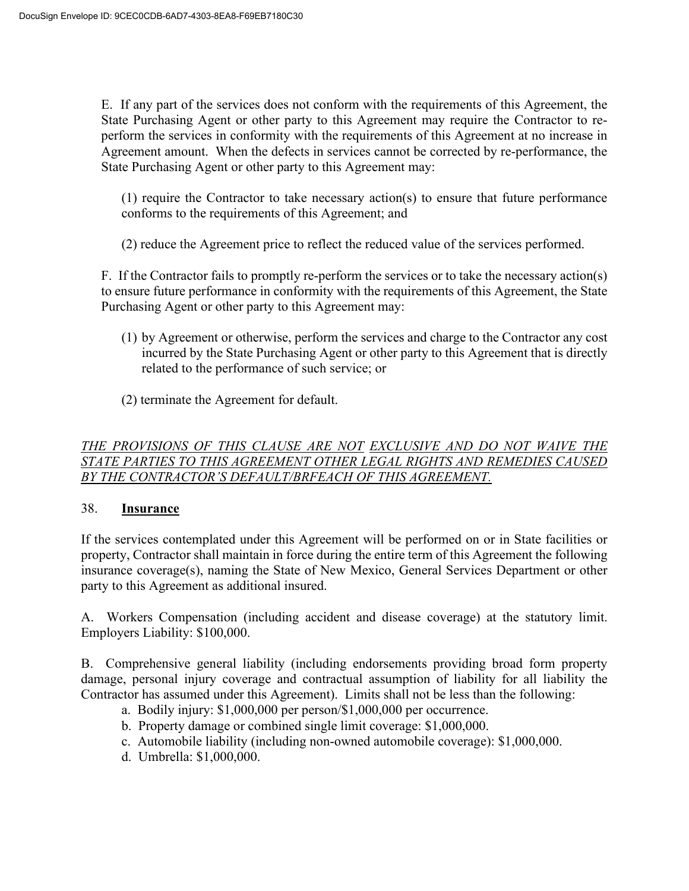E. If any part of the services does not conform with the requirements of this Agreement, the State Purchasing Agent or other party to this Agreement may require the Contractor to reperform the services in conformity with the requirements of this Agreement at no increase in Agreement amount. When the defects in services cannot be corrected by re-performance, the State Purchasing Agent or other party to this Agreement may:

(1) require the Contractor to take necessary action(s) to ensure that future performance conforms to the requirements of this Agreement; and

(2) reduce the Agreement price to reflect the reduced value of the services performed.

F. If the Contractor fails to promptly re-perform the services or to take the necessary action(s) to ensure future performance in conformity with the requirements of this Agreement, the State Purchasing Agent or other party to this Agreement may:

- (1) by Agreement or otherwise, perform the services and charge to the Contractor any cost incurred by the State Purchasing Agent or other party to this Agreement that is directly related to the performance of such service; or
- (2) terminate the Agreement for default.

# *THE PROVISIONS OF THIS CLAUSE ARE NOT EXCLUSIVE AND DO NOT WAIVE THE STATE PARTIES TO THIS AGREEMENT OTHER LEGAL RIGHTS AND REMEDIES CAUSED BY THE CONTRACTOR'S DEFAULT/BRFEACH OF THIS AGREEMENT.*

#### 38. **Insurance**

If the services contemplated under this Agreement will be performed on or in State facilities or property, Contractor shall maintain in force during the entire term of this Agreement the following insurance coverage(s), naming the State of New Mexico, General Services Department or other party to this Agreement as additional insured.

A. Workers Compensation (including accident and disease coverage) at the statutory limit. Employers Liability: \$100,000.

B. Comprehensive general liability (including endorsements providing broad form property damage, personal injury coverage and contractual assumption of liability for all liability the Contractor has assumed under this Agreement). Limits shall not be less than the following:

- a. Bodily injury: \$1,000,000 per person/\$1,000,000 per occurrence.
- b. Property damage or combined single limit coverage: \$1,000,000.
- c. Automobile liability (including non-owned automobile coverage): \$1,000,000.
- d. Umbrella: \$1,000,000.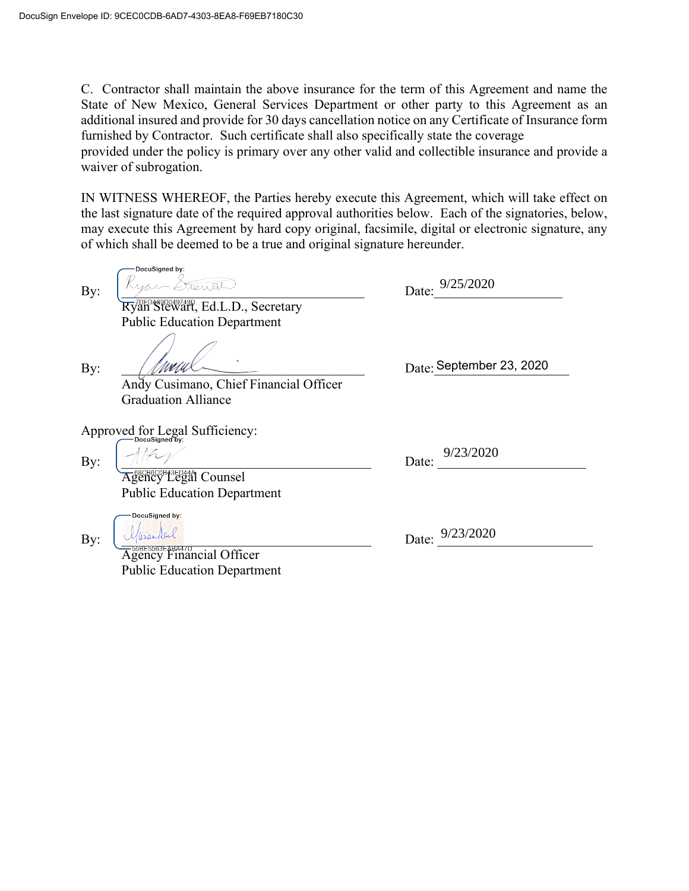C. Contractor shall maintain the above insurance for the term of this Agreement and name the State of New Mexico, General Services Department or other party to this Agreement as an additional insured and provide for 30 days cancellation notice on any Certificate of Insurance form furnished by Contractor. Such certificate shall also specifically state the coverage

provided under the policy is primary over any other valid and collectible insurance and provide a waiver of subrogation.

IN WITNESS WHEREOF, the Parties hereby execute this Agreement, which will take effect on the last signature date of the required approval authorities below. Each of the signatories, below, may execute this Agreement by hard copy original, facsimile, digital or electronic signature, any of which shall be deemed to be a true and original signature hereunder.

-DocuSianed by  $\lim_{\text{By:}}$   $\frac{K_{\text{YAV}} + E_{\text{AUV}}}{E_{\text{AUV}}}$  Date:  $\frac{9/25/2020}{E_{\text{AUV}}}$ Ryan Stewart, Ed.L.D., Secretary Public Education Department  $\mathbf{B}$ y:  $\begin{array}{c} \begin{array}{c} \begin{array}{c} \end{array} \end{array}$  Date: September 23, 2020 Andy Cusimano, Chief Financial Officer Graduation Alliance Approved for Legal Sufficiency: 9/23/2020 By:  $\left[\frac{f}{f} - \frac{f}{f} + \frac{f}{f}\right]$  Date:  $\frac{f}{f}$ Agency Legal Counsel Public Education Department DocuSigned by: By:  $\bigcup \mathcal{U}$  (*l*(*l*(*l*(*i*) and *c*) and *c*) and *c*) and *c*) and *c*) and *c*) and *c*) and *c*) and *c*) and *c*) and *c*) and *c*) and *c*) and *c*) and *c*) and *c*) and *c*) and *c*) and *c*) and *c*) and *c*) **Agency Financial Officer** Public Education Department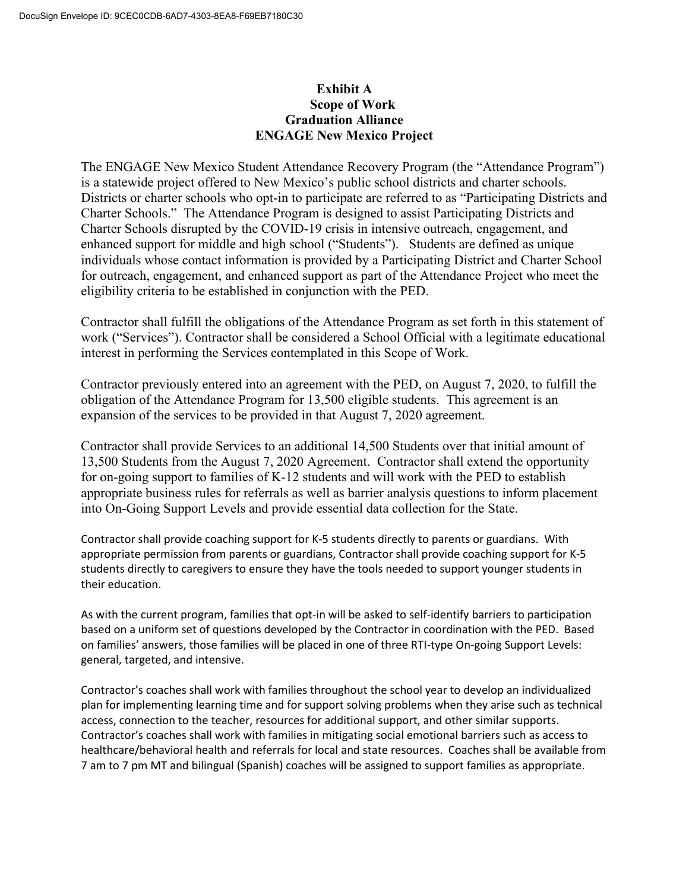## **Exhibit A Scope of Work Graduation Alliance ENGAGE New Mexico Project**

The ENGAGE New Mexico Student Attendance Recovery Program (the "Attendance Program") is a statewide project offered to New Mexico's public school districts and charter schools. Districts or charter schools who opt-in to participate are referred to as "Participating Districts and Charter Schools." The Attendance Program is designed to assist Participating Districts and Charter Schools disrupted by the COVID-19 crisis in intensive outreach, engagement, and enhanced support for middle and high school ("Students"). Students are defined as unique individuals whose contact information is provided by a Participating District and Charter School for outreach, engagement, and enhanced support as part of the Attendance Project who meet the eligibility criteria to be established in conjunction with the PED.

Contractor shall fulfill the obligations of the Attendance Program as set forth in this statement of work ("Services"). Contractor shall be considered a School Official with a legitimate educational interest in performing the Services contemplated in this Scope of Work.

Contractor previously entered into an agreement with the PED, on August 7, 2020, to fulfill the obligation of the Attendance Program for 13,500 eligible students. This agreement is an expansion of the services to be provided in that August 7, 2020 agreement.

Contractor shall provide Services to an additional 14,500 Students over that initial amount of 13,500 Students from the August 7, 2020 Agreement. Contractor shall extend the opportunity for on-going support to families of K-12 students and will work with the PED to establish appropriate business rules for referrals as well as barrier analysis questions to inform placement into On-Going Support Levels and provide essential data collection for the State.

Contractor shall provide coaching support for K-5 students directly to parents or guardians. With appropriate permission from parents or guardians, Contractor shall provide coaching support for K-5 students directly to caregivers to ensure they have the tools needed to support younger students in their education.

As with the current program, families that opt-in will be asked to self-identify barriers to participation based on a uniform set of questions developed by the Contractor in coordination with the PED. Based on families' answers, those families will be placed in one of three RTI-type On-going Support Levels: general, targeted, and intensive.

Contractor's coaches shall work with families throughout the school year to develop an individualized plan for implementing learning time and for support solving problems when they arise such as technical access, connection to the teacher, resources for additional support, and other similar supports. Contractor's coaches shall work with families in mitigating social emotional barriers such as access to healthcare/behavioral health and referrals for local and state resources. Coaches shall be available from 7 am to 7 pm MT and bilingual (Spanish) coaches will be assigned to support families as appropriate.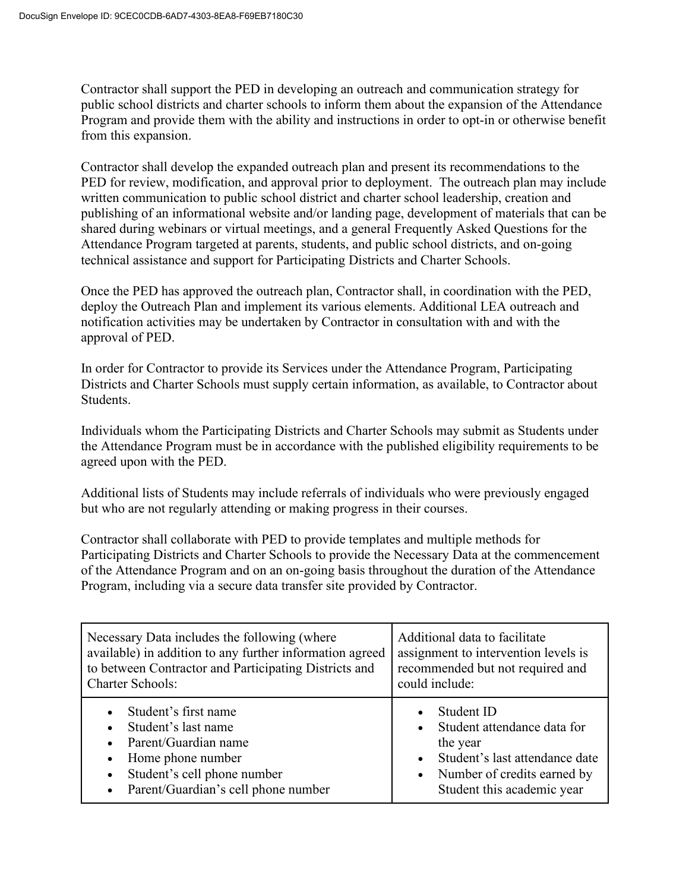Contractor shall support the PED in developing an outreach and communication strategy for public school districts and charter schools to inform them about the expansion of the Attendance Program and provide them with the ability and instructions in order to opt-in or otherwise benefit from this expansion.

Contractor shall develop the expanded outreach plan and present its recommendations to the PED for review, modification, and approval prior to deployment. The outreach plan may include written communication to public school district and charter school leadership, creation and publishing of an informational website and/or landing page, development of materials that can be shared during webinars or virtual meetings, and a general Frequently Asked Questions for the Attendance Program targeted at parents, students, and public school districts, and on-going technical assistance and support for Participating Districts and Charter Schools.

Once the PED has approved the outreach plan, Contractor shall, in coordination with the PED, deploy the Outreach Plan and implement its various elements. Additional LEA outreach and notification activities may be undertaken by Contractor in consultation with and with the approval of PED.

In order for Contractor to provide its Services under the Attendance Program, Participating Districts and Charter Schools must supply certain information, as available, to Contractor about Students.

Individuals whom the Participating Districts and Charter Schools may submit as Students under the Attendance Program must be in accordance with the published eligibility requirements to be agreed upon with the PED.

Additional lists of Students may include referrals of individuals who were previously engaged but who are not regularly attending or making progress in their courses.

Contractor shall collaborate with PED to provide templates and multiple methods for Participating Districts and Charter Schools to provide the Necessary Data at the commencement of the Attendance Program and on an on-going basis throughout the duration of the Attendance Program, including via a secure data transfer site provided by Contractor.

| Necessary Data includes the following (where                                                                                                                                                                                                 | Additional data to facilitate                                                                                                                                     |  |
|----------------------------------------------------------------------------------------------------------------------------------------------------------------------------------------------------------------------------------------------|-------------------------------------------------------------------------------------------------------------------------------------------------------------------|--|
| available) in addition to any further information agreed                                                                                                                                                                                     | assignment to intervention levels is                                                                                                                              |  |
| to between Contractor and Participating Districts and                                                                                                                                                                                        | recommended but not required and                                                                                                                                  |  |
| <b>Charter Schools:</b>                                                                                                                                                                                                                      | could include:                                                                                                                                                    |  |
| Student's first name<br>$\bullet$<br>Student's last name<br>$\bullet$<br>Parent/Guardian name<br>$\bullet$<br>Home phone number<br>$\bullet$<br>Student's cell phone number<br>$\bullet$<br>Parent/Guardian's cell phone number<br>$\bullet$ | Student ID<br>Student attendance data for<br>the year<br>Student's last attendance date<br>Number of credits earned by<br>$\bullet$<br>Student this academic year |  |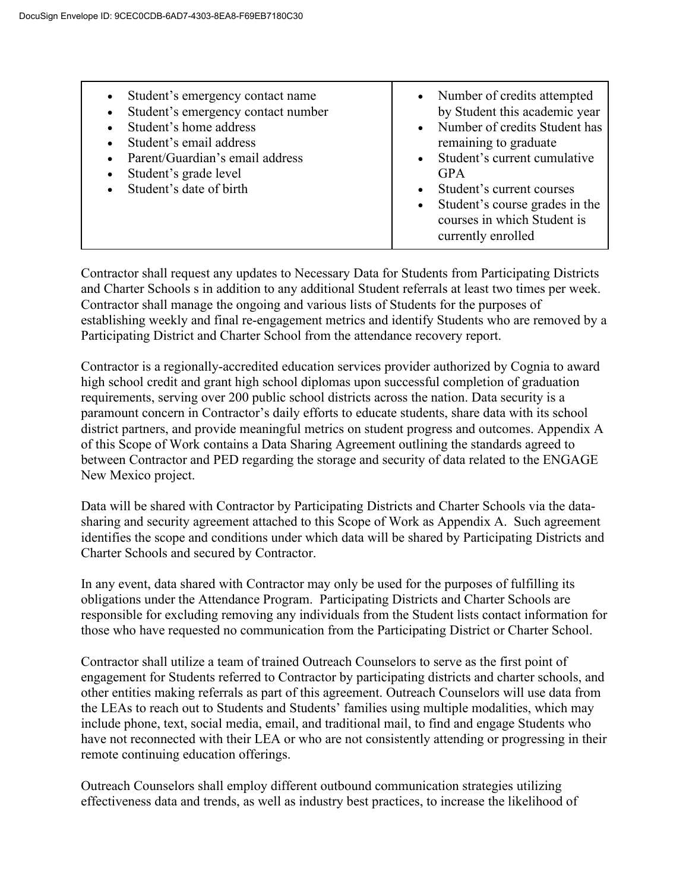Contractor shall request any updates to Necessary Data for Students from Participating Districts and Charter Schools s in addition to any additional Student referrals at least two times per week. Contractor shall manage the ongoing and various lists of Students for the purposes of establishing weekly and final re-engagement metrics and identify Students who are removed by a Participating District and Charter School from the attendance recovery report.

Contractor is a regionally-accredited education services provider authorized by Cognia to award high school credit and grant high school diplomas upon successful completion of graduation requirements, serving over 200 public school districts across the nation. Data security is a paramount concern in Contractor's daily efforts to educate students, share data with its school district partners, and provide meaningful metrics on student progress and outcomes. Appendix A of this Scope of Work contains a Data Sharing Agreement outlining the standards agreed to between Contractor and PED regarding the storage and security of data related to the ENGAGE New Mexico project.

Data will be shared with Contractor by Participating Districts and Charter Schools via the datasharing and security agreement attached to this Scope of Work as Appendix A. Such agreement identifies the scope and conditions under which data will be shared by Participating Districts and Charter Schools and secured by Contractor.

In any event, data shared with Contractor may only be used for the purposes of fulfilling its obligations under the Attendance Program. Participating Districts and Charter Schools are responsible for excluding removing any individuals from the Student lists contact information for those who have requested no communication from the Participating District or Charter School.

Contractor shall utilize a team of trained Outreach Counselors to serve as the first point of engagement for Students referred to Contractor by participating districts and charter schools, and other entities making referrals as part of this agreement. Outreach Counselors will use data from the LEAs to reach out to Students and Students' families using multiple modalities, which may include phone, text, social media, email, and traditional mail, to find and engage Students who have not reconnected with their LEA or who are not consistently attending or progressing in their remote continuing education offerings.

Outreach Counselors shall employ different outbound communication strategies utilizing effectiveness data and trends, as well as industry best practices, to increase the likelihood of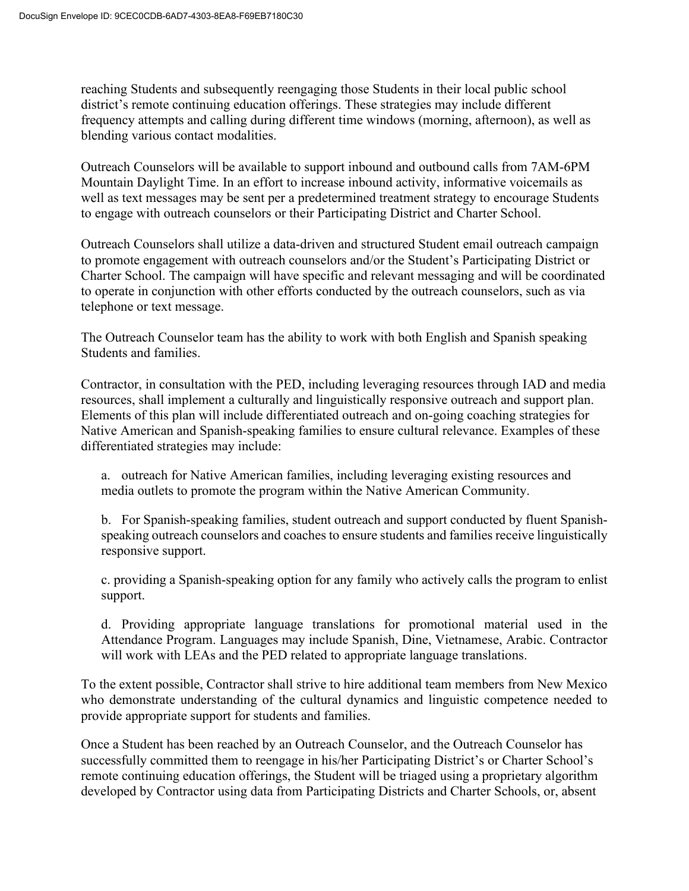reaching Students and subsequently reengaging those Students in their local public school district's remote continuing education offerings. These strategies may include different frequency attempts and calling during different time windows (morning, afternoon), as well as blending various contact modalities.

Outreach Counselors will be available to support inbound and outbound calls from 7AM-6PM Mountain Daylight Time. In an effort to increase inbound activity, informative voicemails as well as text messages may be sent per a predetermined treatment strategy to encourage Students to engage with outreach counselors or their Participating District and Charter School.

Outreach Counselors shall utilize a data-driven and structured Student email outreach campaign to promote engagement with outreach counselors and/or the Student's Participating District or Charter School. The campaign will have specific and relevant messaging and will be coordinated to operate in conjunction with other efforts conducted by the outreach counselors, such as via telephone or text message.

The Outreach Counselor team has the ability to work with both English and Spanish speaking Students and families.

Contractor, in consultation with the PED, including leveraging resources through IAD and media resources, shall implement a culturally and linguistically responsive outreach and support plan. Elements of this plan will include differentiated outreach and on-going coaching strategies for Native American and Spanish-speaking families to ensure cultural relevance. Examples of these differentiated strategies may include:

a. outreach for Native American families, including leveraging existing resources and media outlets to promote the program within the Native American Community.

b. For Spanish-speaking families, student outreach and support conducted by fluent Spanishspeaking outreach counselors and coaches to ensure students and families receive linguistically responsive support.

c. providing a Spanish-speaking option for any family who actively calls the program to enlist support.

d. Providing appropriate language translations for promotional material used in the Attendance Program. Languages may include Spanish, Dine, Vietnamese, Arabic. Contractor will work with LEAs and the PED related to appropriate language translations.

To the extent possible, Contractor shall strive to hire additional team members from New Mexico who demonstrate understanding of the cultural dynamics and linguistic competence needed to provide appropriate support for students and families.

Once a Student has been reached by an Outreach Counselor, and the Outreach Counselor has successfully committed them to reengage in his/her Participating District's or Charter School's remote continuing education offerings, the Student will be triaged using a proprietary algorithm developed by Contractor using data from Participating Districts and Charter Schools, or, absent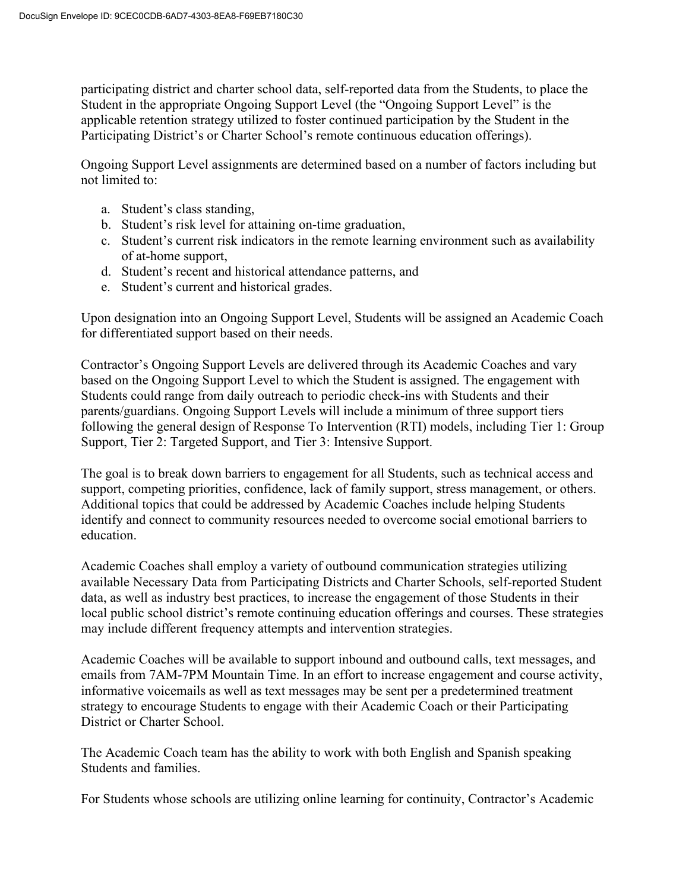participating district and charter school data, self-reported data from the Students, to place the Student in the appropriate Ongoing Support Level (the "Ongoing Support Level" is the applicable retention strategy utilized to foster continued participation by the Student in the Participating District's or Charter School's remote continuous education offerings).

Ongoing Support Level assignments are determined based on a number of factors including but not limited to:

- a. Student's class standing,
- b. Student's risk level for attaining on-time graduation,
- c. Student's current risk indicators in the remote learning environment such as availability of at-home support,
- d. Student's recent and historical attendance patterns, and
- e. Student's current and historical grades.

Upon designation into an Ongoing Support Level, Students will be assigned an Academic Coach for differentiated support based on their needs.

Contractor's Ongoing Support Levels are delivered through its Academic Coaches and vary based on the Ongoing Support Level to which the Student is assigned. The engagement with Students could range from daily outreach to periodic check-ins with Students and their parents/guardians. Ongoing Support Levels will include a minimum of three support tiers following the general design of Response To Intervention (RTI) models, including Tier 1: Group Support, Tier 2: Targeted Support, and Tier 3: Intensive Support.

The goal is to break down barriers to engagement for all Students, such as technical access and support, competing priorities, confidence, lack of family support, stress management, or others. Additional topics that could be addressed by Academic Coaches include helping Students identify and connect to community resources needed to overcome social emotional barriers to education.

Academic Coaches shall employ a variety of outbound communication strategies utilizing available Necessary Data from Participating Districts and Charter Schools, self-reported Student data, as well as industry best practices, to increase the engagement of those Students in their local public school district's remote continuing education offerings and courses. These strategies may include different frequency attempts and intervention strategies.

Academic Coaches will be available to support inbound and outbound calls, text messages, and emails from 7AM-7PM Mountain Time. In an effort to increase engagement and course activity, informative voicemails as well as text messages may be sent per a predetermined treatment strategy to encourage Students to engage with their Academic Coach or their Participating District or Charter School.

The Academic Coach team has the ability to work with both English and Spanish speaking Students and families.

For Students whose schools are utilizing online learning for continuity, Contractor's Academic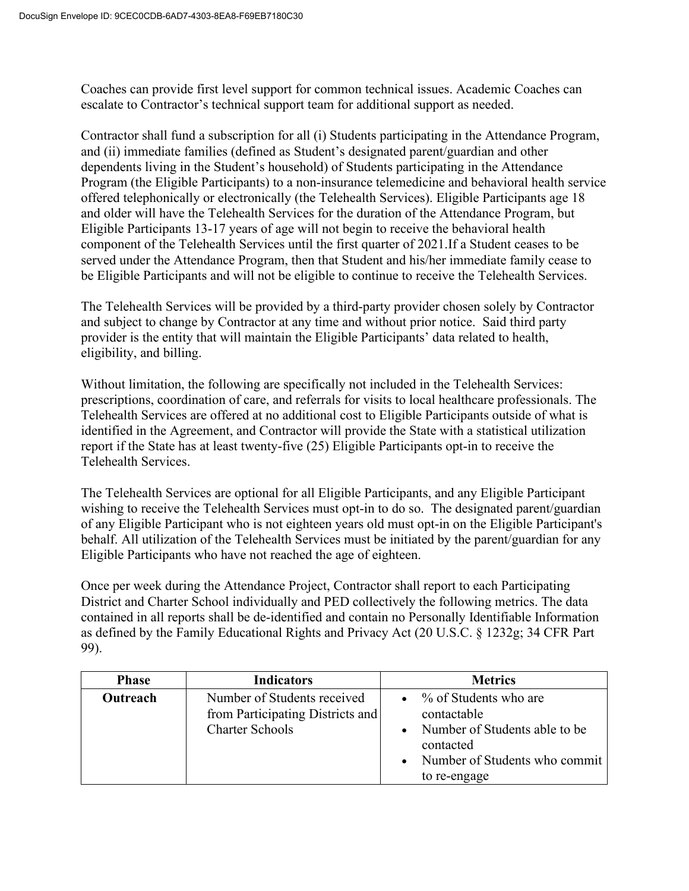Coaches can provide first level support for common technical issues. Academic Coaches can escalate to Contractor's technical support team for additional support as needed.

Contractor shall fund a subscription for all (i) Students participating in the Attendance Program, and (ii) immediate families (defined as Student's designated parent/guardian and other dependents living in the Student's household) of Students participating in the Attendance Program (the Eligible Participants) to a non-insurance telemedicine and behavioral health service offered telephonically or electronically (the Telehealth Services). Eligible Participants age 18 and older will have the Telehealth Services for the duration of the Attendance Program, but Eligible Participants 13-17 years of age will not begin to receive the behavioral health component of the Telehealth Services until the first quarter of 2021.If a Student ceases to be served under the Attendance Program, then that Student and his/her immediate family cease to be Eligible Participants and will not be eligible to continue to receive the Telehealth Services.

The Telehealth Services will be provided by a third-party provider chosen solely by Contractor and subject to change by Contractor at any time and without prior notice. Said third party provider is the entity that will maintain the Eligible Participants' data related to health, eligibility, and billing.

Without limitation, the following are specifically not included in the Telehealth Services: prescriptions, coordination of care, and referrals for visits to local healthcare professionals. The Telehealth Services are offered at no additional cost to Eligible Participants outside of what is identified in the Agreement, and Contractor will provide the State with a statistical utilization report if the State has at least twenty-five (25) Eligible Participants opt-in to receive the Telehealth Services.

The Telehealth Services are optional for all Eligible Participants, and any Eligible Participant wishing to receive the Telehealth Services must opt-in to do so. The designated parent/guardian of any Eligible Participant who is not eighteen years old must opt-in on the Eligible Participant's behalf. All utilization of the Telehealth Services must be initiated by the parent/guardian for any Eligible Participants who have not reached the age of eighteen.

Once per week during the Attendance Project, Contractor shall report to each Participating District and Charter School individually and PED collectively the following metrics. The data contained in all reports shall be de-identified and contain no Personally Identifiable Information as defined by the Family Educational Rights and Privacy Act (20 U.S.C. § 1232g; 34 CFR Part 99).

| <b>Phase</b> | <b>Indicators</b>                                                                         | <b>Metrics</b>                                                                                                                      |
|--------------|-------------------------------------------------------------------------------------------|-------------------------------------------------------------------------------------------------------------------------------------|
| Outreach     | Number of Students received<br>from Participating Districts and<br><b>Charter Schools</b> | % of Students who are<br>contactable<br>Number of Students able to be<br>contacted<br>Number of Students who commit<br>to re-engage |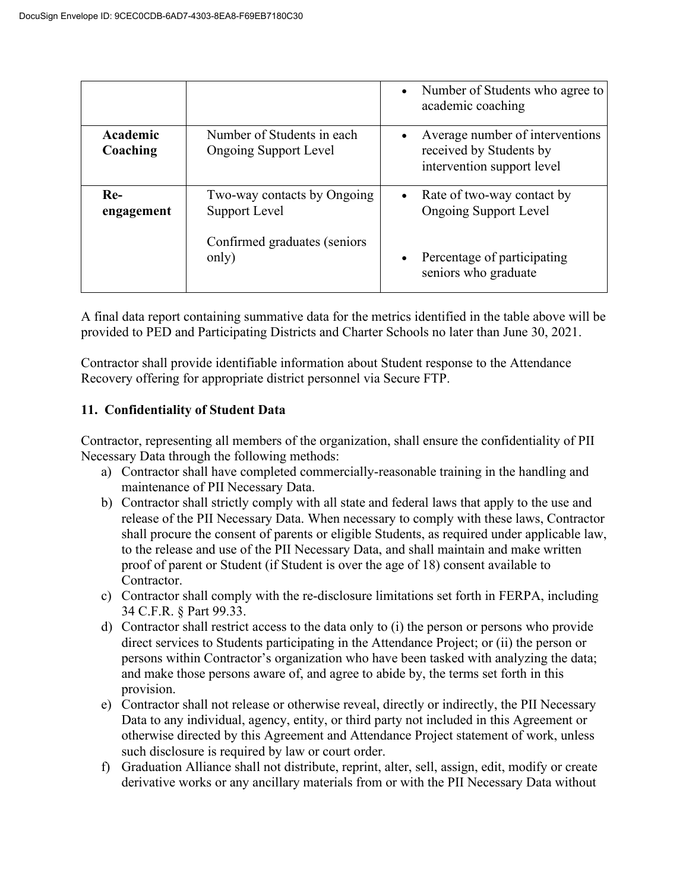|                      |                                                            | Number of Students who agree to<br>academic coaching                                     |
|----------------------|------------------------------------------------------------|------------------------------------------------------------------------------------------|
| Academic<br>Coaching | Number of Students in each<br><b>Ongoing Support Level</b> | Average number of interventions<br>received by Students by<br>intervention support level |
| $Re-$<br>engagement  | Two-way contacts by Ongoing<br>Support Level               | Rate of two-way contact by<br>$\bullet$<br><b>Ongoing Support Level</b>                  |
|                      | Confirmed graduates (seniors<br>only)                      | Percentage of participating<br>seniors who graduate                                      |

A final data report containing summative data for the metrics identified in the table above will be provided to PED and Participating Districts and Charter Schools no later than June 30, 2021.

Contractor shall provide identifiable information about Student response to the Attendance Recovery offering for appropriate district personnel via Secure FTP.

# **11. Confidentiality of Student Data**

Contractor, representing all members of the organization, shall ensure the confidentiality of PII Necessary Data through the following methods:

- a) Contractor shall have completed commercially-reasonable training in the handling and maintenance of PII Necessary Data.
- b) Contractor shall strictly comply with all state and federal laws that apply to the use and release of the PII Necessary Data. When necessary to comply with these laws, Contractor shall procure the consent of parents or eligible Students, as required under applicable law, to the release and use of the PII Necessary Data, and shall maintain and make written proof of parent or Student (if Student is over the age of 18) consent available to Contractor.
- c) Contractor shall comply with the re-disclosure limitations set forth in FERPA, including 34 C.F.R. § Part 99.33.
- d) Contractor shall restrict access to the data only to (i) the person or persons who provide direct services to Students participating in the Attendance Project; or (ii) the person or persons within Contractor's organization who have been tasked with analyzing the data; and make those persons aware of, and agree to abide by, the terms set forth in this provision.
- e) Contractor shall not release or otherwise reveal, directly or indirectly, the PII Necessary Data to any individual, agency, entity, or third party not included in this Agreement or otherwise directed by this Agreement and Attendance Project statement of work, unless such disclosure is required by law or court order.
- f) Graduation Alliance shall not distribute, reprint, alter, sell, assign, edit, modify or create derivative works or any ancillary materials from or with the PII Necessary Data without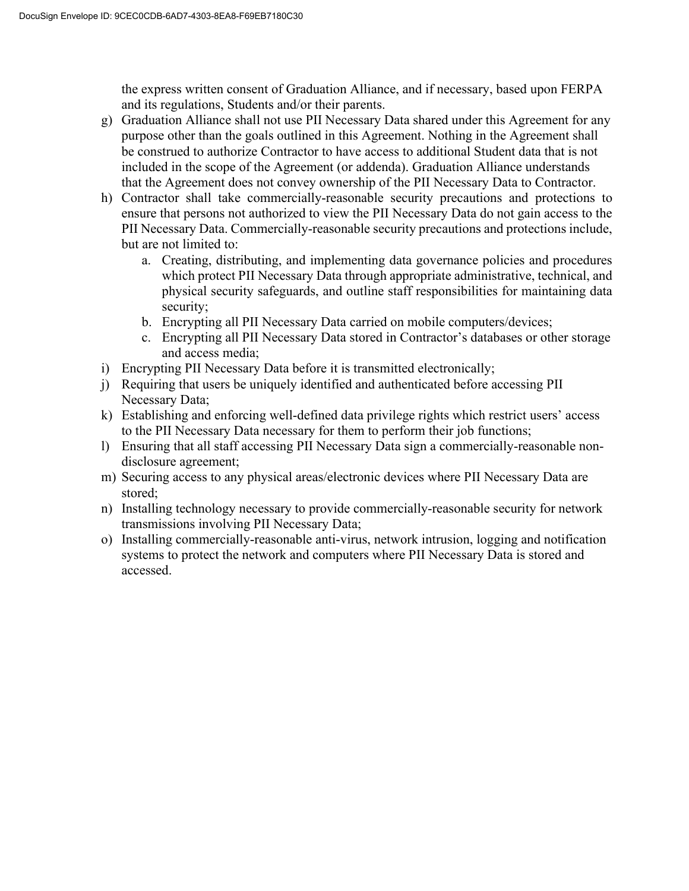the express written consent of Graduation Alliance, and if necessary, based upon FERPA and its regulations, Students and/or their parents.

- g) Graduation Alliance shall not use PII Necessary Data shared under this Agreement for any purpose other than the goals outlined in this Agreement. Nothing in the Agreement shall be construed to authorize Contractor to have access to additional Student data that is not included in the scope of the Agreement (or addenda). Graduation Alliance understands that the Agreement does not convey ownership of the PII Necessary Data to Contractor.
- h) Contractor shall take commercially-reasonable security precautions and protections to ensure that persons not authorized to view the PII Necessary Data do not gain access to the PII Necessary Data. Commercially-reasonable security precautions and protections include, but are not limited to:
	- a. Creating, distributing, and implementing data governance policies and procedures which protect PII Necessary Data through appropriate administrative, technical, and physical security safeguards, and outline staff responsibilities for maintaining data security;
	- b. Encrypting all PII Necessary Data carried on mobile computers/devices;
	- c. Encrypting all PII Necessary Data stored in Contractor's databases or other storage and access media;
- i) Encrypting PII Necessary Data before it is transmitted electronically;
- j) Requiring that users be uniquely identified and authenticated before accessing PII Necessary Data;
- k) Establishing and enforcing well-defined data privilege rights which restrict users' access to the PII Necessary Data necessary for them to perform their job functions;
- l) Ensuring that all staff accessing PII Necessary Data sign a commercially-reasonable nondisclosure agreement;
- m) Securing access to any physical areas/electronic devices where PII Necessary Data are stored;
- n) Installing technology necessary to provide commercially-reasonable security for network transmissions involving PII Necessary Data;
- o) Installing commercially-reasonable anti-virus, network intrusion, logging and notification systems to protect the network and computers where PII Necessary Data is stored and accessed.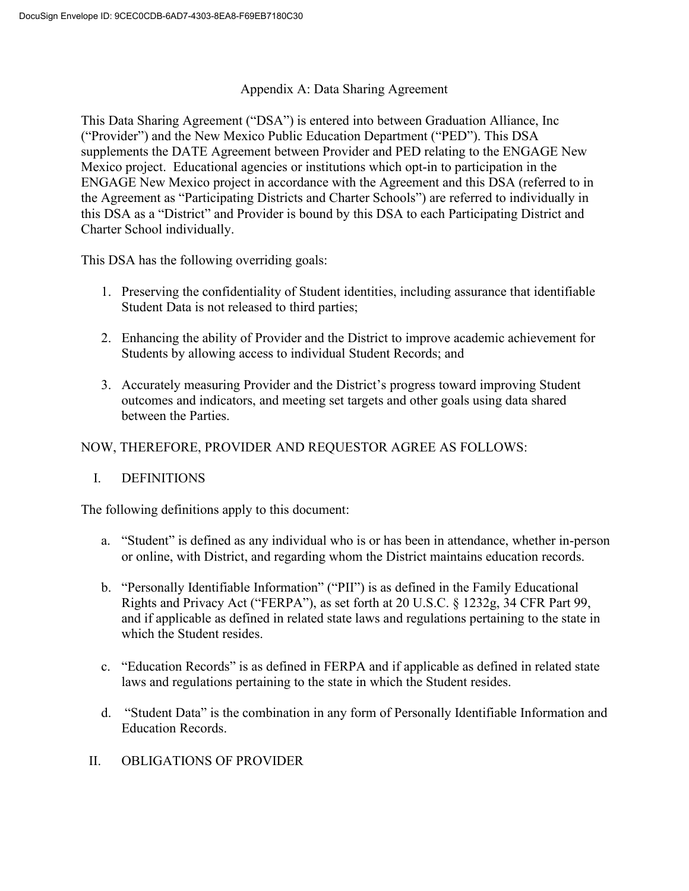### Appendix A: Data Sharing Agreement

This Data Sharing Agreement ("DSA") is entered into between Graduation Alliance, Inc ("Provider") and the New Mexico Public Education Department ("PED"). This DSA supplements the DATE Agreement between Provider and PED relating to the ENGAGE New Mexico project. Educational agencies or institutions which opt-in to participation in the ENGAGE New Mexico project in accordance with the Agreement and this DSA (referred to in the Agreement as "Participating Districts and Charter Schools") are referred to individually in this DSA as a "District" and Provider is bound by this DSA to each Participating District and Charter School individually.

This DSA has the following overriding goals:

- 1. Preserving the confidentiality of Student identities, including assurance that identifiable Student Data is not released to third parties;
- 2. Enhancing the ability of Provider and the District to improve academic achievement for Students by allowing access to individual Student Records; and
- 3. Accurately measuring Provider and the District's progress toward improving Student outcomes and indicators, and meeting set targets and other goals using data shared between the Parties.

# NOW, THEREFORE, PROVIDER AND REQUESTOR AGREE AS FOLLOWS:

## I. DEFINITIONS

The following definitions apply to this document:

- a. "Student" is defined as any individual who is or has been in attendance, whether in-person or online, with District, and regarding whom the District maintains education records.
- b. "Personally Identifiable Information" ("PII") is as defined in the Family Educational Rights and Privacy Act ("FERPA"), as set forth at 20 U.S.C. § 1232g, 34 CFR Part 99, and if applicable as defined in related state laws and regulations pertaining to the state in which the Student resides.
- c. "Education Records" is as defined in FERPA and if applicable as defined in related state laws and regulations pertaining to the state in which the Student resides.
- d. "Student Data" is the combination in any form of Personally Identifiable Information and Education Records.
- II. OBLIGATIONS OF PROVIDER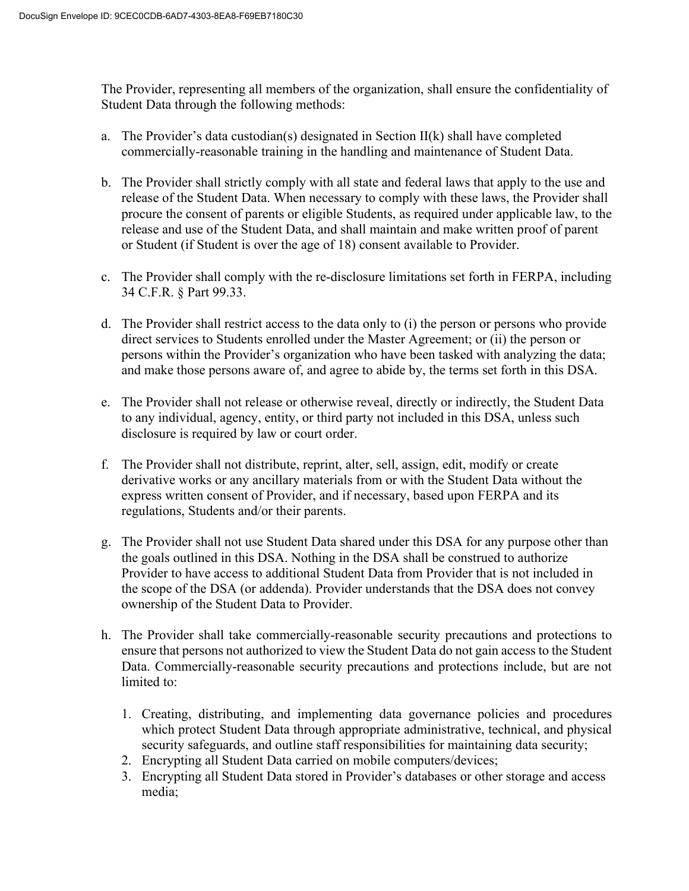The Provider, representing all members of the organization, shall ensure the confidentiality of Student Data through the following methods:

- a. The Provider's data custodian(s) designated in Section II(k) shall have completed commercially-reasonable training in the handling and maintenance of Student Data.
- b. The Provider shall strictly comply with all state and federal laws that apply to the use and release of the Student Data. When necessary to comply with these laws, the Provider shall procure the consent of parents or eligible Students, as required under applicable law, to the release and use of the Student Data, and shall maintain and make written proof of parent or Student (if Student is over the age of 18) consent available to Provider.
- c. The Provider shall comply with the re-disclosure limitations set forth in FERPA, including 34 C.F.R. § Part 99.33.
- d. The Provider shall restrict access to the data only to (i) the person or persons who provide direct services to Students enrolled under the Master Agreement; or (ii) the person or persons within the Provider's organization who have been tasked with analyzing the data; and make those persons aware of, and agree to abide by, the terms set forth in this DSA.
- e. The Provider shall not release or otherwise reveal, directly or indirectly, the Student Data to any individual, agency, entity, or third party not included in this DSA, unless such disclosure is required by law or court order.
- f. The Provider shall not distribute, reprint, alter, sell, assign, edit, modify or create derivative works or any ancillary materials from or with the Student Data without the express written consent of Provider, and if necessary, based upon FERPA and its regulations, Students and/or their parents.
- g. The Provider shall not use Student Data shared under this DSA for any purpose other than the goals outlined in this DSA. Nothing in the DSA shall be construed to authorize Provider to have access to additional Student Data from Provider that is not included in the scope of the DSA (or addenda). Provider understands that the DSA does not convey ownership of the Student Data to Provider.
- h. The Provider shall take commercially-reasonable security precautions and protections to ensure that persons not authorized to view the Student Data do not gain access to the Student Data. Commercially-reasonable security precautions and protections include, but are not limited to:
	- 1. Creating, distributing, and implementing data governance policies and procedures which protect Student Data through appropriate administrative, technical, and physical security safeguards, and outline staff responsibilities for maintaining data security;
	- 2. Encrypting all Student Data carried on mobile computers/devices;
	- 3. Encrypting all Student Data stored in Provider's databases or other storage and access media;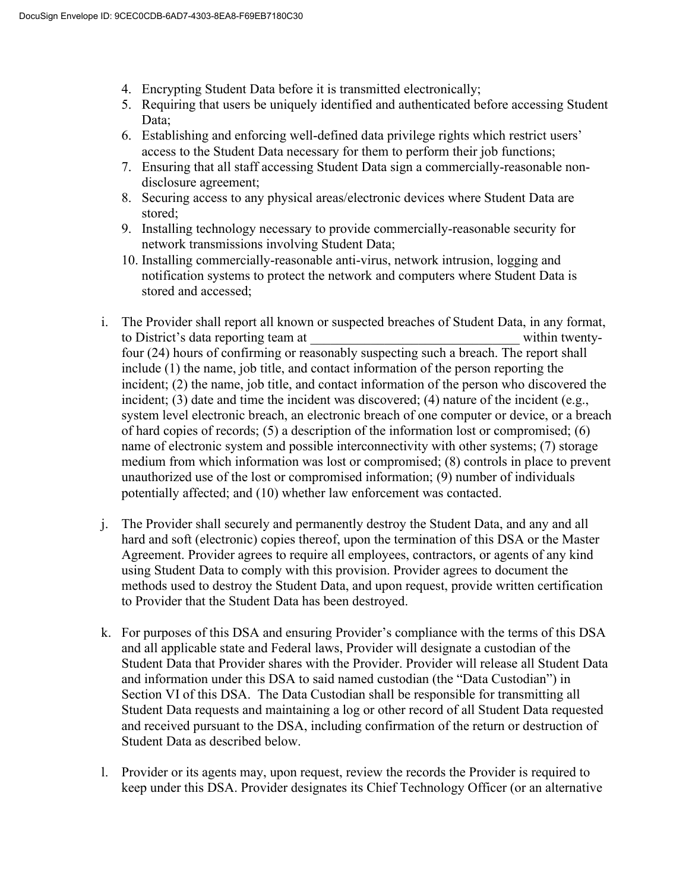- 4. Encrypting Student Data before it is transmitted electronically;
- 5. Requiring that users be uniquely identified and authenticated before accessing Student Data;
- 6. Establishing and enforcing well-defined data privilege rights which restrict users' access to the Student Data necessary for them to perform their job functions;
- 7. Ensuring that all staff accessing Student Data sign a commercially-reasonable nondisclosure agreement;
- 8. Securing access to any physical areas/electronic devices where Student Data are stored;
- 9. Installing technology necessary to provide commercially-reasonable security for network transmissions involving Student Data;
- 10. Installing commercially-reasonable anti-virus, network intrusion, logging and notification systems to protect the network and computers where Student Data is stored and accessed;
- i. The Provider shall report all known or suspected breaches of Student Data, in any format, to District's data reporting team at within twentyfour (24) hours of confirming or reasonably suspecting such a breach. The report shall include (1) the name, job title, and contact information of the person reporting the incident; (2) the name, job title, and contact information of the person who discovered the incident; (3) date and time the incident was discovered; (4) nature of the incident (e.g., system level electronic breach, an electronic breach of one computer or device, or a breach of hard copies of records; (5) a description of the information lost or compromised; (6) name of electronic system and possible interconnectivity with other systems; (7) storage medium from which information was lost or compromised; (8) controls in place to prevent unauthorized use of the lost or compromised information; (9) number of individuals potentially affected; and (10) whether law enforcement was contacted.
- j. The Provider shall securely and permanently destroy the Student Data, and any and all hard and soft (electronic) copies thereof, upon the termination of this DSA or the Master Agreement. Provider agrees to require all employees, contractors, or agents of any kind using Student Data to comply with this provision. Provider agrees to document the methods used to destroy the Student Data, and upon request, provide written certification to Provider that the Student Data has been destroyed.
- k. For purposes of this DSA and ensuring Provider's compliance with the terms of this DSA and all applicable state and Federal laws, Provider will designate a custodian of the Student Data that Provider shares with the Provider. Provider will release all Student Data and information under this DSA to said named custodian (the "Data Custodian") in Section VI of this DSA. The Data Custodian shall be responsible for transmitting all Student Data requests and maintaining a log or other record of all Student Data requested and received pursuant to the DSA, including confirmation of the return or destruction of Student Data as described below.
- l. Provider or its agents may, upon request, review the records the Provider is required to keep under this DSA. Provider designates its Chief Technology Officer (or an alternative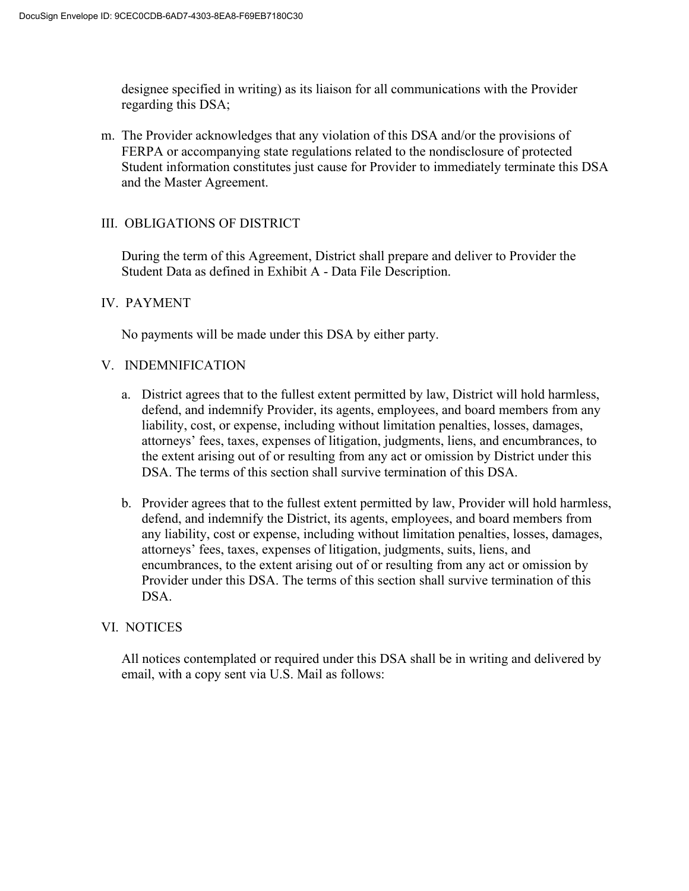designee specified in writing) as its liaison for all communications with the Provider regarding this DSA;

m. The Provider acknowledges that any violation of this DSA and/or the provisions of FERPA or accompanying state regulations related to the nondisclosure of protected Student information constitutes just cause for Provider to immediately terminate this DSA and the Master Agreement.

### III. OBLIGATIONS OF DISTRICT

During the term of this Agreement, District shall prepare and deliver to Provider the Student Data as defined in Exhibit A - Data File Description.

### IV. PAYMENT

No payments will be made under this DSA by either party.

#### V. INDEMNIFICATION

- a. District agrees that to the fullest extent permitted by law, District will hold harmless, defend, and indemnify Provider, its agents, employees, and board members from any liability, cost, or expense, including without limitation penalties, losses, damages, attorneys' fees, taxes, expenses of litigation, judgments, liens, and encumbrances, to the extent arising out of or resulting from any act or omission by District under this DSA. The terms of this section shall survive termination of this DSA.
- b. Provider agrees that to the fullest extent permitted by law, Provider will hold harmless, defend, and indemnify the District, its agents, employees, and board members from any liability, cost or expense, including without limitation penalties, losses, damages, attorneys' fees, taxes, expenses of litigation, judgments, suits, liens, and encumbrances, to the extent arising out of or resulting from any act or omission by Provider under this DSA. The terms of this section shall survive termination of this DSA.

#### VI. NOTICES

All notices contemplated or required under this DSA shall be in writing and delivered by email, with a copy sent via U.S. Mail as follows: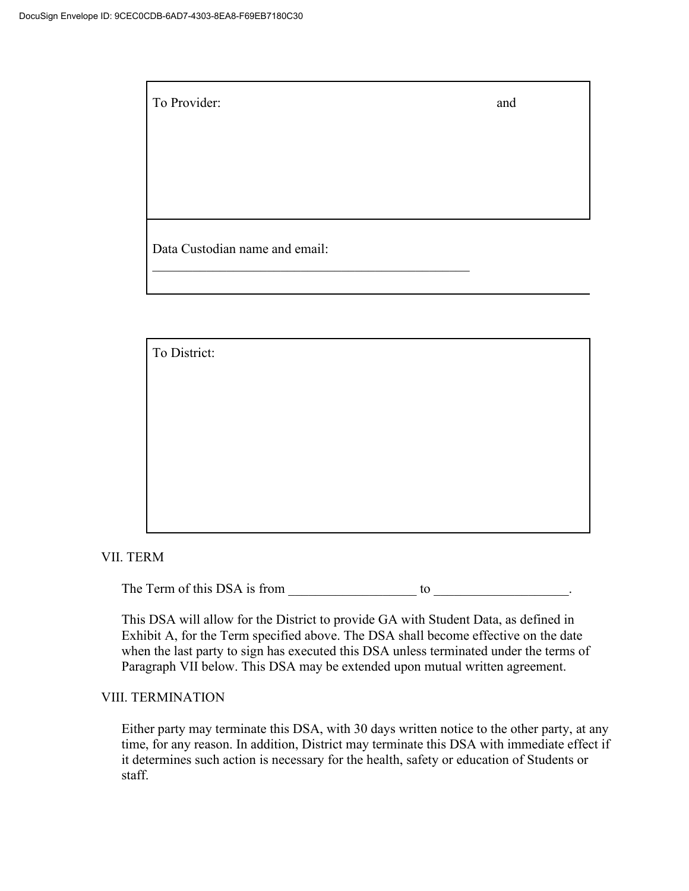To Provider: and

Data Custodian name and email:

 $\mathcal{L}_\mathcal{L}$ 

To District:

VII. TERM

The Term of this DSA is from \_\_\_\_\_\_\_\_\_\_\_\_\_\_\_\_\_\_\_ to \_\_\_\_\_\_\_\_\_\_\_\_\_\_\_\_\_\_\_\_.

This DSA will allow for the District to provide GA with Student Data, as defined in Exhibit A, for the Term specified above. The DSA shall become effective on the date when the last party to sign has executed this DSA unless terminated under the terms of Paragraph VII below. This DSA may be extended upon mutual written agreement.

#### VIII. TERMINATION

Either party may terminate this DSA, with 30 days written notice to the other party, at any time, for any reason. In addition, District may terminate this DSA with immediate effect if it determines such action is necessary for the health, safety or education of Students or staff.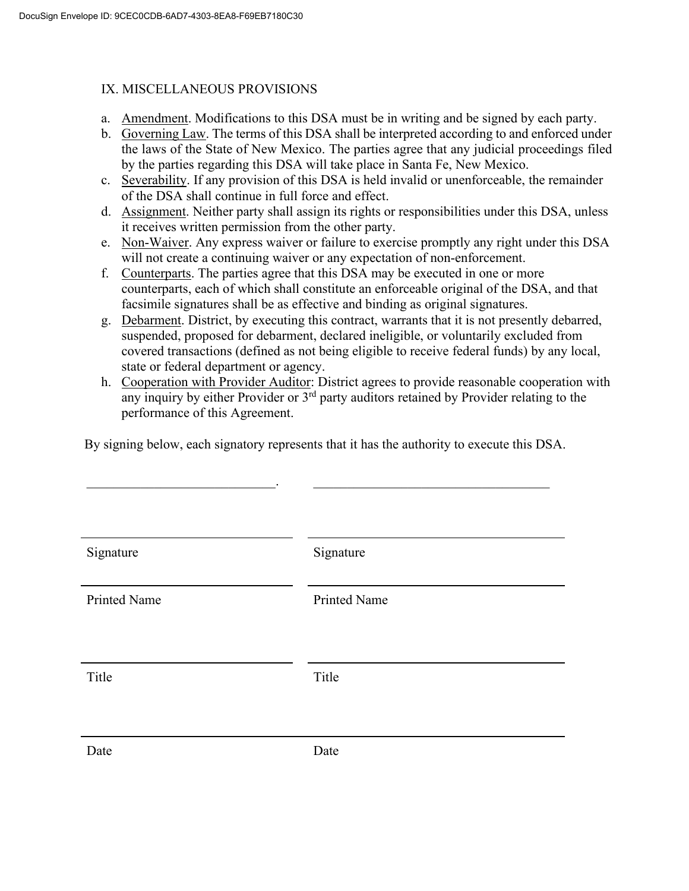## IX. MISCELLANEOUS PROVISIONS

- a. Amendment. Modifications to this DSA must be in writing and be signed by each party.
- b. Governing Law. The terms of this DSA shall be interpreted according to and enforced under the laws of the State of New Mexico. The parties agree that any judicial proceedings filed by the parties regarding this DSA will take place in Santa Fe, New Mexico.
- c. Severability. If any provision of this DSA is held invalid or unenforceable, the remainder of the DSA shall continue in full force and effect.
- d. Assignment. Neither party shall assign its rights or responsibilities under this DSA, unless it receives written permission from the other party.
- e. Non-Waiver. Any express waiver or failure to exercise promptly any right under this DSA will not create a continuing waiver or any expectation of non-enforcement.
- f. Counterparts. The parties agree that this DSA may be executed in one or more counterparts, each of which shall constitute an enforceable original of the DSA, and that facsimile signatures shall be as effective and binding as original signatures.
- g. Debarment. District, by executing this contract, warrants that it is not presently debarred, suspended, proposed for debarment, declared ineligible, or voluntarily excluded from covered transactions (defined as not being eligible to receive federal funds) by any local, state or federal department or agency.
- h. Cooperation with Provider Auditor: District agrees to provide reasonable cooperation with any inquiry by either Provider or  $3<sup>rd</sup>$  party auditors retained by Provider relating to the performance of this Agreement.

By signing below, each signatory represents that it has the authority to execute this DSA.

 $\mathcal{L}_\mathcal{L}$  , and the contribution of the contribution of the contribution of the contribution of the contribution of the contribution of the contribution of the contribution of the contribution of the contribution of

| Signature           | Signature           |
|---------------------|---------------------|
| <b>Printed Name</b> | <b>Printed Name</b> |
| Title               | Title               |
| Date                | Date                |